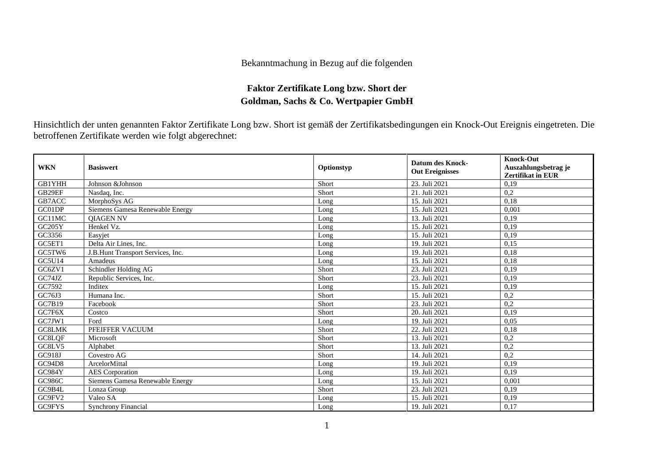## Bekanntmachung in Bezug auf die folgenden

## **Faktor Zertifikate Long bzw. Short der Goldman, Sachs & Co. Wertpapier GmbH**

Hinsichtlich der unten genannten Faktor Zertifikate Long bzw. Short ist gemäß der Zertifikatsbedingungen ein Knock-Out Ereignis eingetreten. Die betroffenen Zertifikate werden wie folgt abgerechnet:

| <b>WKN</b> | <b>Basiswert</b>                  | Optionstyp | <b>Datum des Knock-</b><br><b>Out Ereignisses</b> | <b>Knock-Out</b><br>Auszahlungsbetrag je<br><b>Zertifikat in EUR</b> |
|------------|-----------------------------------|------------|---------------------------------------------------|----------------------------------------------------------------------|
| GB1YHH     | Johnson &Johnson                  | Short      | 23. Juli 2021                                     | 0,19                                                                 |
| GB29EF     | Nasdaq, Inc.                      | Short      | 21. Juli 2021                                     | 0,2                                                                  |
| GB7ACC     | MorphoSys AG                      | Long       | 15. Juli 2021                                     | 0,18                                                                 |
| GC01DP     | Siemens Gamesa Renewable Energy   | Long       | 15. Juli 2021                                     | 0.001                                                                |
| GC11MC     | <b>OIAGEN NV</b>                  | Long       | 13. Juli 2021                                     | 0,19                                                                 |
| GC205Y     | Henkel Vz.                        | Long       | 15. Juli 2021                                     | 0,19                                                                 |
| GC3356     | Easyjet                           | Long       | 15. Juli 2021                                     | 0,19                                                                 |
| GC5ET1     | Delta Air Lines, Inc.             | Long       | 19. Juli 2021                                     | 0,15                                                                 |
| GC5TW6     | J.B.Hunt Transport Services, Inc. | Long       | 19. Juli 2021                                     | 0,18                                                                 |
| GC5U14     | Amadeus                           | Long       | 15. Juli 2021                                     | 0,18                                                                 |
| GC6ZV1     | Schindler Holding AG              | Short      | 23. Juli 2021                                     | 0,19                                                                 |
| GC74JZ     | Republic Services, Inc.           | Short      | 23. Juli 2021                                     | 0.19                                                                 |
| GC7592     | Inditex                           | Long       | 15. Juli 2021                                     | 0,19                                                                 |
| GC76J3     | Humana Inc.                       | Short      | 15. Juli 2021                                     | 0,2                                                                  |
| GC7B19     | Facebook                          | Short      | 23. Juli 2021                                     | 0,2                                                                  |
| GC7F6X     | Costco                            | Short      | 20. Juli 2021                                     | 0,19                                                                 |
| GC7JW1     | Ford                              | Long       | 19. Juli 2021                                     | 0,05                                                                 |
| GC8LMK     | PFEIFFER VACUUM                   | Short      | 22. Juli 2021                                     | 0,18                                                                 |
| GC8LQF     | Microsoft                         | Short      | 13. Juli 2021                                     | 0,2                                                                  |
| GC8LV5     | Alphabet                          | Short      | 13. Juli 2021                                     | 0,2                                                                  |
| GC918J     | Covestro AG                       | Short      | 14. Juli 2021                                     | 0,2                                                                  |
| GC94D8     | ArcelorMittal                     | Long       | 19. Juli 2021                                     | 0,19                                                                 |
| GC984Y     | <b>AES</b> Corporation            | Long       | 19. Juli 2021                                     | 0,19                                                                 |
| GC986C     | Siemens Gamesa Renewable Energy   | Long       | 15. Juli 2021                                     | 0.001                                                                |
| GC9B4L     | Lonza Group                       | Short      | 23. Juli 2021                                     | 0,19                                                                 |
| GC9FV2     | Valeo SA                          | Long       | 15. Juli 2021                                     | 0,19                                                                 |
| GC9FYS     | <b>Synchrony Financial</b>        | Long       | 19. Juli 2021                                     | 0,17                                                                 |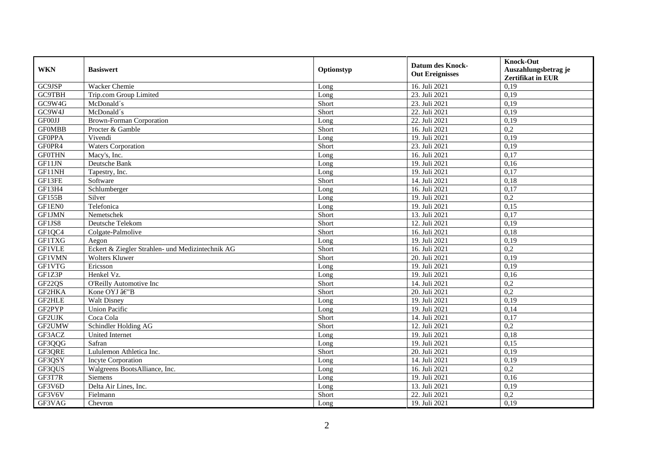| <b>WKN</b>    | <b>Basiswert</b>                                 | Optionstyp | <b>Datum des Knock-</b><br><b>Out Ereignisses</b> | <b>Knock-Out</b><br>Auszahlungsbetrag je<br><b>Zertifikat in EUR</b> |
|---------------|--------------------------------------------------|------------|---------------------------------------------------|----------------------------------------------------------------------|
| GC9JSP        | Wacker Chemie                                    | Long       | 16. Juli 2021                                     | 0,19                                                                 |
| <b>GC9TBH</b> | Trip.com Group Limited                           | Long       | 23. Juli 2021                                     | 0,19                                                                 |
| GC9W4G        | McDonald's                                       | Short      | 23. Juli 2021                                     | 0,19                                                                 |
| GC9W4J        | McDonald's                                       | Short      | 22. Juli 2021                                     | 0,19                                                                 |
| GF00JJ        | <b>Brown-Forman Corporation</b>                  | Long       | 22. Juli 2021                                     | 0,19                                                                 |
| <b>GFOMBB</b> | Procter & Gamble                                 | Short      | 16. Juli 2021                                     | $\overline{0.2}$                                                     |
| <b>GFOPPA</b> | Vivendi                                          | Long       | 19. Juli 2021                                     | 0,19                                                                 |
| GF0PR4        | <b>Waters Corporation</b>                        | Short      | 23. Juli 2021                                     | 0,19                                                                 |
| <b>GF0THN</b> | Macy's, Inc.                                     | Long       | 16. Juli 2021                                     | 0,17                                                                 |
| GF11JN        | Deutsche Bank                                    | Long       | 19. Juli 2021                                     | 0,16                                                                 |
| GF11NH        | Tapestry, Inc.                                   | Long       | 19. Juli 2021                                     | 0,17                                                                 |
| GF13FE        | Software                                         | Short      | 14. Juli 2021                                     | 0,18                                                                 |
| GF13H4        | Schlumberger                                     | Long       | 16. Juli 2021                                     | 0,17                                                                 |
| <b>GF155B</b> | Silver                                           | Long       | 19. Juli 2021                                     | 0,2                                                                  |
| GF1EN0        | Telefonica                                       | Long       | 19. Juli 2021                                     | 0,15                                                                 |
| <b>GF1JMN</b> | Nemetschek                                       | Short      | 13. Juli 2021                                     | 0,17                                                                 |
| GF1JS8        | Deutsche Telekom                                 | Short      | 12. Juli 2021                                     | 0,19                                                                 |
| GF1QC4        | Colgate-Palmolive                                | Short      | 16. Juli 2021                                     | 0,18                                                                 |
| <b>GF1TXG</b> | Aegon                                            | Long       | 19. Juli 2021                                     | 0,19                                                                 |
| GF1VLE        | Eckert & Ziegler Strahlen- und Medizintechnik AG | Short      | 16. Juli 2021                                     | 0,2                                                                  |
| <b>GF1VMN</b> | Wolters Kluwer                                   | Short      | 20. Juli 2021                                     | 0,19                                                                 |
| <b>GF1VTG</b> | Ericsson                                         | Long       | 19. Juli 2021                                     | 0.19                                                                 |
| GF1Z3P        | Henkel Vz.                                       | Long       | 19. Juli 2021                                     | 0,16                                                                 |
| GF22QS        | O'Reilly Automotive Inc                          | Short      | 14. Juli 2021                                     | 0,2                                                                  |
| <b>GF2HKA</b> | Kone OYJ â€"B                                    | Short      | 20. Juli 2021                                     | 0,2                                                                  |
| GF2HLE        | <b>Walt Disney</b>                               | Long       | 19. Juli 2021                                     | 0,19                                                                 |
| GF2PYP        | <b>Union Pacific</b>                             | Long       | 19. Juli 2021                                     | 0,14                                                                 |
| GF2UJK        | Coca Cola                                        | Short      | 14. Juli 2021                                     | 0,17                                                                 |
| GF2UMW        | Schindler Holding AG                             | Short      | 12. Juli 2021                                     | 0,2                                                                  |
| GF3ACZ        | United Internet                                  | Long       | 19. Juli 2021                                     | 0,18                                                                 |
| GF3QQG        | Safran                                           | Long       | 19. Juli 2021                                     | 0,15                                                                 |
| GF3QRE        | Lululemon Athletica Inc.                         | Short      | 20. Juli 2021                                     | 0,19                                                                 |
| GF3QSY        | <b>Incyte Corporation</b>                        | Long       | 14. Juli 2021                                     | 0,19                                                                 |
| GF3QUS        | Walgreens BootsAlliance, Inc.                    | Long       | 16. Juli 2021                                     | 0,2                                                                  |
| GF3T7R        | <b>Siemens</b>                                   | Long       | 19. Juli 2021                                     | 0,16                                                                 |
| GF3V6D        | Delta Air Lines, Inc.                            | Long       | 13. Juli 2021                                     | 0,19                                                                 |
| GF3V6V        | Fielmann                                         | Short      | 22. Juli 2021                                     | 0,2                                                                  |
| GF3VAG        | Chevron                                          | Long       | 19. Juli 2021                                     | 0,19                                                                 |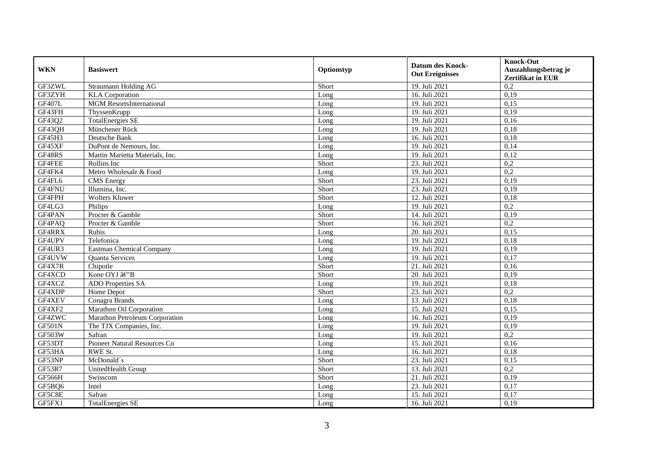| <b>WKN</b>    | <b>Basiswert</b>                | Optionstyp | <b>Datum des Knock-</b><br><b>Out Ereignisses</b> | <b>Knock-Out</b><br>Auszahlungsbetrag je<br><b>Zertifikat in EUR</b> |
|---------------|---------------------------------|------------|---------------------------------------------------|----------------------------------------------------------------------|
| GF3ZWL        | Straumann Holding AG            | Short      | 19. Juli 2021                                     | 0,2                                                                  |
| GF3ZYH        | <b>KLA</b> Corporation          | Long       | 16. Juli 2021                                     | 0,19                                                                 |
| <b>GF407L</b> | <b>MGM</b> ResortsInternational | Long       | 19. Juli 2021                                     | 0,15                                                                 |
| GF43FH        | ThyssenKrupp                    | Long       | 19. Juli 2021                                     | 0,19                                                                 |
| GF43Q2        | <b>TotalEnergies SE</b>         | Long       | 19. Juli 2021                                     | 0,16                                                                 |
| GF43QH        | Münchener Rück                  | Long       | 19. Juli 2021                                     | 0,18                                                                 |
| GF45H3        | Deutsche Bank                   | Long       | 16. Juli 2021                                     | 0,18                                                                 |
| GF45XF        | DuPont de Nemours, Inc.         | Long       | 19. Juli 2021                                     | 0,14                                                                 |
| GF48RS        | Martin Marietta Materials, Inc. | Long       | 19. Juli 2021                                     | 0,12                                                                 |
| GF4FEE        | Rollins Inc                     | Short      | 23. Juli 2021                                     | 0,2                                                                  |
| GF4FK4        | Metro Wholesale & Food          | Long       | 19. Juli 2021                                     | 0,2                                                                  |
| GF4FL6        | <b>CMS</b> Energy               | Short      | 23. Juli 2021                                     | 0,19                                                                 |
| GF4FNU        | Illumina, Inc.                  | Short      | 23. Juli 2021                                     | 0,19                                                                 |
| GF4FPH        | <b>Wolters Kluwer</b>           | Short      | 12. Juli 2021                                     | 0,18                                                                 |
| GF4LG3        | Philips                         | Long       | 19. Juli 2021                                     | 0,2                                                                  |
| GF4PAN        | Procter & Gamble                | Short      | 14. Juli 2021                                     | 0,19                                                                 |
| GF4PAQ        | Procter & Gamble                | Short      | 16. Juli 2021                                     | 0,2                                                                  |
| GF4RRX        | <b>Rubis</b>                    | Long       | 20. Juli 2021                                     | 0.15                                                                 |
| GF4UPV        | Telefonica                      | Long       | 19. Juli 2021                                     | 0,18                                                                 |
| GF4UR3        | <b>Eastman Chemical Company</b> | Long       | 19. Juli 2021                                     | 0,19                                                                 |
| GF4UVW        | Quanta Services                 | Long       | 19. Juli 2021                                     | 0,17                                                                 |
| GF4X7R        | Chipotle                        | Short      | 21. Juli 2021                                     | 0,16                                                                 |
| GF4XCD        | Kone OYJ â€"B                   | Short      | 20. Juli 2021                                     | 0,19                                                                 |
| GF4XCZ        | <b>ADO</b> Properties SA        | Long       | 19. Juli 2021                                     | 0,18                                                                 |
| GF4XDP        | Home Depot                      | Short      | 23. Juli 2021                                     | 0,2                                                                  |
| GF4XEV        | Conagra Brands                  | Long       | 13. Juli 2021                                     | 0,18                                                                 |
| GF4XF2        | Marathon Oil Corporation        | Long       | 15. Juli 2021                                     | 0,15                                                                 |
| GF4ZWC        | Marathon Petroleum Corporation  | Long       | 16. Juli 2021                                     | 0,19                                                                 |
| GF501N        | The TJX Companies, Inc.         | Long       | 19. Juli 2021                                     | 0,19                                                                 |
| <b>GF503W</b> | Safran                          | Long       | 19. Juli 2021                                     | 0,2                                                                  |
| GF53DT        | Pioneer Natural Resources Co    | Long       | 15. Juli 2021                                     | 0,16                                                                 |
| GF53HA        | RWE St.                         | Long       | 16. Juli 2021                                     | 0,18                                                                 |
| GF53NP        | McDonald's                      | Short      | 23. Juli 2021                                     | 0,15                                                                 |
| GF53R7        | UnitedHealth Group              | Short      | 13. Juli 2021                                     | 0,2                                                                  |
| GF566H        | Swisscom                        | Short      | 21. Juli 2021                                     | 0,19                                                                 |
| GF5BQ6        | Intel                           | Long       | 23. Juli 2021                                     | 0,17                                                                 |
| GF5C8E        | Safran                          | Long       | 15. Juli 2021                                     | 0,17                                                                 |
| GF5FX1        | <b>TotalEnergies SE</b>         | Long       | 16. Juli 2021                                     | 0,19                                                                 |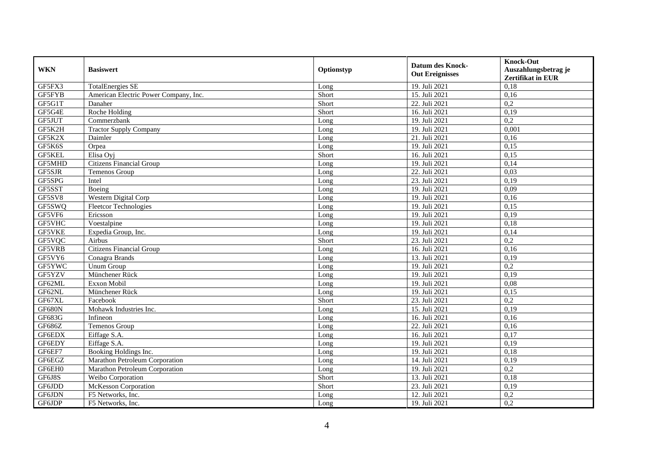|               |                                       |            | <b>Datum des Knock-</b> | <b>Knock-Out</b>         |
|---------------|---------------------------------------|------------|-------------------------|--------------------------|
| <b>WKN</b>    | <b>Basiswert</b>                      | Optionstyp | <b>Out Ereignisses</b>  | Auszahlungsbetrag je     |
|               |                                       |            |                         | <b>Zertifikat in EUR</b> |
| GF5FX3        | <b>TotalEnergies SE</b>               | Long       | 19. Juli 2021           | 0,18                     |
| GF5FYB        | American Electric Power Company, Inc. | Short      | 15. Juli 2021           | 0,16                     |
| GF5G1T        | Danaher                               | Short      | 22. Juli 2021           | 0,2                      |
| GF5G4E        | Roche Holding                         | Short      | 16. Juli 2021           | 0,19                     |
| GF5JUT        | Commerzbank                           | Long       | 19. Juli 2021           | 0,2                      |
| GF5K2H        | Tractor Supply Company                | Long       | 19. Juli 2021           | 0,001                    |
| GF5K2X        | Daimler                               | Long       | 21. Juli 2021           | 0,16                     |
| GF5K6S        | Orpea                                 | Long       | 19. Juli 2021           | 0,15                     |
| GF5KEL        | Elisa Oyj                             | Short      | 16. Juli 2021           | 0,15                     |
| GF5MHD        | <b>Citizens Financial Group</b>       | Long       | 19. Juli 2021           | 0,14                     |
| GF5SJR        | <b>Temenos Group</b>                  | Long       | 22. Juli 2021           | 0.03                     |
| GF5SPG        | Intel                                 | Long       | 23. Juli 2021           | 0,19                     |
| GF5SST        | Boeing                                | Long       | 19. Juli 2021           | 0,09                     |
| GF5SV8        | Western Digital Corp                  | Long       | 19. Juli 2021           | 0,16                     |
| GF5SWQ        | <b>Fleetcor Technologies</b>          | Long       | 19. Juli 2021           | 0,15                     |
| GF5VF6        | Ericsson                              | Long       | 19. Juli 2021           | 0,19                     |
| GF5VHC        | Voestalpine                           | Long       | 19. Juli 2021           | 0,18                     |
| <b>GF5VKE</b> | Expedia Group, Inc.                   | Long       | 19. Juli 2021           | 0,14                     |
| GF5VQC        | Airbus                                | Short      | 23. Juli 2021           | 0,2                      |
| GF5VRB        | <b>Citizens Financial Group</b>       | Long       | 16. Juli 2021           | 0,16                     |
| GF5VY6        | Conagra Brands                        | Long       | 13. Juli 2021           | 0,19                     |
| GF5YWC        | <b>Unum Group</b>                     | Long       | 19. Juli 2021           | $\overline{0,2}$         |
| GF5YZV        | Münchener Rück                        | Long       | 19. Juli 2021           | 0,19                     |
| GF62ML        | Exxon Mobil                           | Long       | 19. Juli 2021           | 0,08                     |
| GF62NL        | Münchener Rück                        | Long       | 19. Juli 2021           | 0,15                     |
| GF67XL        | Facebook                              | Short      | 23. Juli 2021           | 0,2                      |
| GF680N        | Mohawk Industries Inc.                | Long       | 15. Juli 2021           | 0,19                     |
| GF683G        | Infineon                              | Long       | 16. Juli 2021           | 0,16                     |
| GF686Z        | Temenos Group                         | Long       | 22. Juli 2021           | 0,16                     |
| GF6EDX        | Eiffage S.A.                          | Long       | 16. Juli 2021           | 0,17                     |
| GF6EDY        | Eiffage S.A.                          | Long       | 19. Juli 2021           | 0,19                     |
| GF6EF7        | Booking Holdings Inc.                 | Long       | 19. Juli 2021           | 0,18                     |
| GF6EGZ        | Marathon Petroleum Corporation        | Long       | 14. Juli 2021           | 0,19                     |
| GF6EH0        | Marathon Petroleum Corporation        | Long       | 19. Juli 2021           | $\overline{0.2}$         |
| GF6J8S        | Weibo Corporation                     | Short      | 13. Juli 2021           | 0,18                     |
| GF6JDD        | <b>McKesson Corporation</b>           | Short      | 23. Juli 2021           | 0,19                     |
| GF6JDN        | F5 Networks, Inc.                     | Long       | 12. Juli 2021           | 0,2                      |
| GF6JDP        | F5 Networks, Inc.                     | Long       | 19. Juli 2021           | 0,2                      |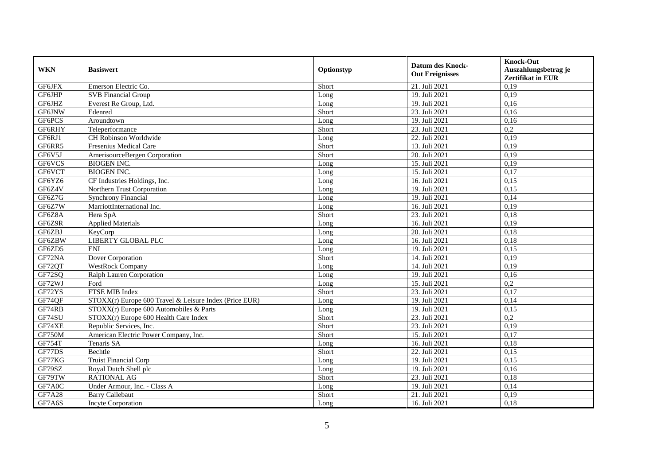| <b>WKN</b>    | <b>Basiswert</b>                                       | Optionstyp | <b>Datum des Knock-</b><br><b>Out Ereignisses</b> | <b>Knock-Out</b><br>Auszahlungsbetrag je<br><b>Zertifikat in EUR</b> |
|---------------|--------------------------------------------------------|------------|---------------------------------------------------|----------------------------------------------------------------------|
| GF6JFX        | Emerson Electric Co.                                   | Short      | 21. Juli 2021                                     | 0,19                                                                 |
| GF6JHP        | <b>SVB</b> Financial Group                             | Long       | 19. Juli 2021                                     | 0,19                                                                 |
| GF6JHZ        | Everest Re Group, Ltd.                                 | Long       | 19. Juli 2021                                     | 0,16                                                                 |
| GF6JNW        | Edenred                                                | Short      | 23. Juli 2021                                     | 0,16                                                                 |
| GF6PCS        | Aroundtown                                             | Long       | 19. Juli 2021                                     | 0,16                                                                 |
| GF6RHY        | Teleperformance                                        | Short      | 23. Juli 2021                                     | $\overline{0.2}$                                                     |
| GF6RJ1        | CH Robinson Worldwide                                  | Long       | 22. Juli 2021                                     | 0,19                                                                 |
| GF6RR5        | Fresenius Medical Care                                 | Short      | 13. Juli 2021                                     | 0,19                                                                 |
| GF6V5J        | AmerisourceBergen Corporation                          | Short      | 20. Juli 2021                                     | 0,19                                                                 |
| GF6VCS        | <b>BIOGEN INC.</b>                                     | Long       | 15. Juli 2021                                     | 0,19                                                                 |
| GF6VCT        | <b>BIOGEN INC.</b>                                     | Long       | 15. Juli 2021                                     | 0,17                                                                 |
| GF6YZ6        | CF Industries Holdings, Inc.                           | Long       | 16. Juli 2021                                     | 0,15                                                                 |
| GF6Z4V        | Northern Trust Corporation                             | Long       | 19. Juli 2021                                     | 0,15                                                                 |
| GF6Z7G        | <b>Synchrony Financial</b>                             | Long       | 19. Juli 2021                                     | 0,14                                                                 |
| GF6Z7W        | MarriottInternational Inc.                             | Long       | 16. Juli 2021                                     | 0,19                                                                 |
| GF6Z8A        | Hera SpA                                               | Short      | 23. Juli 2021                                     | 0,18                                                                 |
| GF6Z9R        | <b>Applied Materials</b>                               | Long       | 16. Juli 2021                                     | 0,19                                                                 |
| GF6ZBJ        | KeyCorp                                                | Long       | 20. Juli 2021                                     | 0.18                                                                 |
| GF6ZBW        | <b>LIBERTY GLOBAL PLC</b>                              | Long       | 16. Juli 2021                                     | 0,18                                                                 |
| GF6ZD5        | <b>ENI</b>                                             | Long       | 19. Juli 2021                                     | 0,15                                                                 |
| GF72NA        | Dover Corporation                                      | Short      | 14. Juli 2021                                     | 0,19                                                                 |
| GF72QT        | <b>WestRock Company</b>                                | Long       | 14. Juli 2021                                     | 0,19                                                                 |
| GF72SQ        | Ralph Lauren Corporation                               | Long       | 19. Juli 2021                                     | 0,16                                                                 |
| GF72WJ        | Ford                                                   | Long       | 15. Juli 2021                                     | 0,2                                                                  |
| GF72YS        | FTSE MIB Index                                         | Short      | 23. Juli 2021                                     | 0,17                                                                 |
| GF74QF        | STOXX(r) Europe 600 Travel & Leisure Index (Price EUR) | Long       | 19. Juli 2021                                     | 0,14                                                                 |
| GF74RB        | $STOXX(r)$ Europe 600 Automobiles & Parts              | Long       | 19. Juli 2021                                     | 0,15                                                                 |
| GF74SU        | STOXX(r) Europe 600 Health Care Index                  | Short      | 23. Juli 2021                                     | $\overline{0.2}$                                                     |
| GF74XE        | Republic Services, Inc.                                | Short      | 23. Juli 2021                                     | 0,19                                                                 |
| GF750M        | American Electric Power Company, Inc.                  | Short      | 15. Juli 2021                                     | 0,17                                                                 |
| GF754T        | Tenaris SA                                             | Long       | 16. Juli 2021                                     | 0,18                                                                 |
| GF77DS        | Bechtle                                                | Short      | 22. Juli 2021                                     | 0,15                                                                 |
| GF77KG        | <b>Truist Financial Corp</b>                           | Long       | 19. Juli 2021                                     | 0,15                                                                 |
| GF79SZ        | Royal Dutch Shell plc                                  | Long       | 19. Juli 2021                                     | 0,16                                                                 |
| GF79TW        | <b>RATIONAL AG</b>                                     | Short      | 23. Juli 2021                                     | 0,18                                                                 |
| GF7A0C        | Under Armour, Inc. - Class A                           | Long       | 19. Juli 2021                                     | 0,14                                                                 |
| <b>GF7A28</b> | <b>Barry Callebaut</b>                                 | Short      | 21. Juli 2021                                     | 0,19                                                                 |
| GF7A6S        | Incyte Corporation                                     | Long       | 16. Juli 2021                                     | 0,18                                                                 |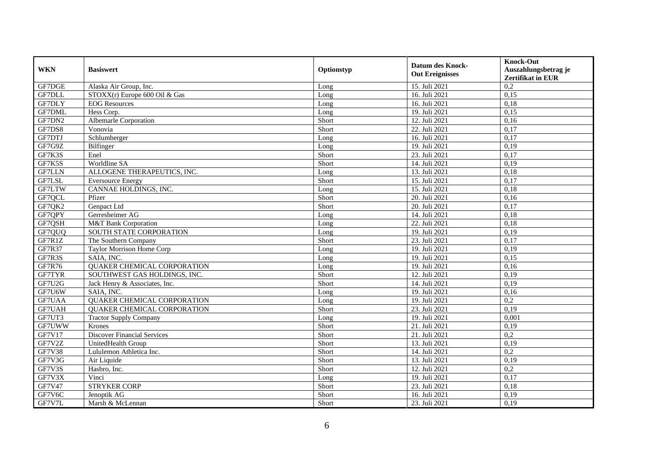| <b>WKN</b>    | <b>Basiswert</b>                   | Optionstyp | <b>Datum des Knock-</b><br><b>Out Ereignisses</b> | <b>Knock-Out</b><br>Auszahlungsbetrag je<br><b>Zertifikat in EUR</b> |
|---------------|------------------------------------|------------|---------------------------------------------------|----------------------------------------------------------------------|
| GF7DGE        | Alaska Air Group, Inc.             | Long       | 15. Juli 2021                                     | 0,2                                                                  |
| GF7DLL        | $STOXX(r)$ Europe 600 Oil & Gas    | Long       | 16. Juli 2021                                     | 0,15                                                                 |
| <b>GF7DLY</b> | <b>EOG</b> Resources               | Long       | 16. Juli 2021                                     | 0,18                                                                 |
| <b>GF7DML</b> | Hess Corp.                         | Long       | 19. Juli 2021                                     | 0,15                                                                 |
| GF7DN2        | <b>Albemarle Corporation</b>       | Short      | 12. Juli 2021                                     | 0,16                                                                 |
| GF7DS8        | Vonovia                            | Short      | 22. Juli 2021                                     | 0,17                                                                 |
| GF7DTJ        | Schlumberger                       | Long       | 16. Juli 2021                                     | 0,17                                                                 |
| GF7G9Z        | Bilfinger                          | Long       | 19. Juli 2021                                     | 0,19                                                                 |
| GF7K3S        | Enel                               | Short      | 23. Juli 2021                                     | 0,17                                                                 |
| GF7K5S        | Worldline SA                       | Short      | 14. Juli 2021                                     | 0,19                                                                 |
| <b>GF7LLN</b> | ALLOGENE THERAPEUTICS, INC.        | Long       | 13. Juli 2021                                     | 0,18                                                                 |
| GF7LSL        | <b>Eversource Energy</b>           | Short      | 15. Juli 2021                                     | 0,17                                                                 |
| GF7LTW        | CANNAE HOLDINGS, INC.              | Long       | 15. Juli 2021                                     | 0,18                                                                 |
| GF7QCL        | Pfizer                             | Short      | 20. Juli 2021                                     | 0,16                                                                 |
| GF7QK2        | Genpact Ltd                        | Short      | 20. Juli 2021                                     | 0,17                                                                 |
| GF7QPY        | Gerresheimer AG                    | Long       | 14. Juli 2021                                     | 0,18                                                                 |
| GF7QSH        | M&T Bank Corporation               | Long       | 22. Juli 2021                                     | 0,18                                                                 |
| GF7QUQ        | SOUTH STATE CORPORATION            | Long       | 19. Juli 2021                                     | 0,19                                                                 |
| GF7R1Z        | The Southern Company               | Short      | 23. Juli 2021                                     | 0,17                                                                 |
| <b>GF7R37</b> | <b>Taylor Morrison Home Corp</b>   | Long       | 19. Juli 2021                                     | 0,19                                                                 |
| GF7R3S        | SAIA, INC.                         | Long       | 19. Juli 2021                                     | 0,15                                                                 |
| GF7R76        | <b>QUAKER CHEMICAL CORPORATION</b> | Long       | 19. Juli 2021                                     | 0,16                                                                 |
| GF7TYR        | SOUTHWEST GAS HOLDINGS, INC.       | Short      | 12. Juli 2021                                     | 0,19                                                                 |
| GF7U2G        | Jack Henry & Associates, Inc.      | Short      | 14. Juli 2021                                     | 0,19                                                                 |
| GF7U6W        | SAIA, INC.                         | Long       | 19. Juli 2021                                     | 0,16                                                                 |
| GF7UAA        | QUAKER CHEMICAL CORPORATION        | Long       | 19. Juli 2021                                     | 0,2                                                                  |
| GF7UAH        | <b>QUAKER CHEMICAL CORPORATION</b> | Short      | 23. Juli 2021                                     | 0,19                                                                 |
| GF7UT3        | <b>Tractor Supply Company</b>      | Long       | 19. Juli 2021                                     | 0,001                                                                |
| GF7UWW        | Krones                             | Short      | 21. Juli 2021                                     | 0,19                                                                 |
| GF7V17        | <b>Discover Financial Services</b> | Short      | 21. Juli 2021                                     | 0,2                                                                  |
| GF7V2Z        | UnitedHealth Group                 | Short      | 13. Juli 2021                                     | 0,19                                                                 |
| <b>GF7V38</b> | Lululemon Athletica Inc.           | Short      | 14. Juli 2021                                     | 0,2                                                                  |
| GF7V3G        | Air Liquide                        | Short      | 13. Juli 2021                                     | 0,19                                                                 |
| GF7V3S        | Hasbro, Inc.                       | Short      | 12. Juli 2021                                     | 0,2                                                                  |
| GF7V3X        | Vinci                              | Long       | 19. Juli 2021                                     | 0,17                                                                 |
| GF7V47        | <b>STRYKER CORP</b>                | Short      | 23. Juli 2021                                     | 0,18                                                                 |
| GF7V6C        | Jenoptik AG                        | Short      | 16. Juli 2021                                     | 0,19                                                                 |
| GF7V7L        | Marsh & McLennan                   | Short      | 23. Juli 2021                                     | 0,19                                                                 |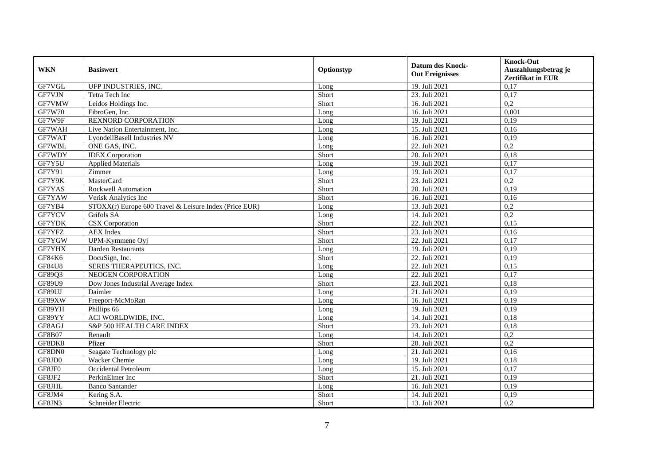| <b>WKN</b>    | <b>Basiswert</b>                                       | Optionstyp | <b>Datum des Knock-</b><br><b>Out Ereignisses</b> | <b>Knock-Out</b><br>Auszahlungsbetrag je<br><b>Zertifikat in EUR</b> |
|---------------|--------------------------------------------------------|------------|---------------------------------------------------|----------------------------------------------------------------------|
| GF7VGL        | UFP INDUSTRIES, INC.                                   | Long       | 19. Juli 2021                                     | 0,17                                                                 |
| GF7VJN        | Tetra Tech Inc                                         | Short      | 23. Juli 2021                                     | 0,17                                                                 |
| GF7VMW        | Leidos Holdings Inc.                                   | Short      | 16. Juli 2021                                     | 0,2                                                                  |
| <b>GF7W70</b> | FibroGen, Inc.                                         | Long       | 16. Juli 2021                                     | 0,001                                                                |
| GF7W9F        | <b>REXNORD CORPORATION</b>                             | Long       | 19. Juli 2021                                     | 0,19                                                                 |
| GF7WAH        | Live Nation Entertainment, Inc.                        | Long       | 15. Juli 2021                                     | 0.16                                                                 |
| GF7WAT        | LyondellBasell Industries NV                           | Long       | 16. Juli 2021                                     | 0,19                                                                 |
| GF7WBL        | ONE GAS, INC.                                          | Long       | 22. Juli 2021                                     | 0,2                                                                  |
| GF7WDY        | <b>IDEX</b> Corporation                                | Short      | 20. Juli 2021                                     | 0,18                                                                 |
| GF7Y5U        | <b>Applied Materials</b>                               | Long       | 19. Juli 2021                                     | 0,17                                                                 |
| GF7Y91        | Zimmer                                                 | Long       | 19. Juli 2021                                     | 0,17                                                                 |
| GF7Y9K        | <b>MasterCard</b>                                      | Short      | 23. Juli 2021                                     | 0,2                                                                  |
| GF7YAS        | Rockwell Automation                                    | Short      | 20. Juli 2021                                     | 0,19                                                                 |
| GF7YAW        | Verisk Analytics Inc                                   | Short      | 16. Juli 2021                                     | 0,16                                                                 |
| GF7YB4        | STOXX(r) Europe 600 Travel & Leisure Index (Price EUR) | Long       | 13. Juli 2021                                     | 0,2                                                                  |
| GF7YCV        | Grifols SA                                             | Long       | 14. Juli 2021                                     | 0,2                                                                  |
| GF7YDK        | CSX Corporation                                        | Short      | 22. Juli 2021                                     | 0,15                                                                 |
| GF7YFZ        | <b>AEX</b> Index                                       | Short      | 23. Juli 2021                                     | 0,16                                                                 |
| GF7YGW        | UPM-Kymmene Oyj                                        | Short      | 22. Juli 2021                                     | 0,17                                                                 |
| GF7YHX        | Darden Restaurants                                     | Long       | 19. Juli 2021                                     | 0,19                                                                 |
| GF84K6        | DocuSign, Inc.                                         | Short      | 22. Juli 2021                                     | 0,19                                                                 |
| <b>GF84U8</b> | SERES THERAPEUTICS, INC.                               | Long       | 22. Juli 2021                                     | 0,15                                                                 |
| GF89Q3        | NEOGEN CORPORATION                                     | Long       | 22. Juli 2021                                     | 0,17                                                                 |
| GF89U9        | Dow Jones Industrial Average Index                     | Short      | 23. Juli 2021                                     | 0,18                                                                 |
| GF89UJ        | Daimler                                                | Long       | 21. Juli 2021                                     | 0,19                                                                 |
| GF89XW        | Freeport-McMoRan                                       | Long       | 16. Juli 2021                                     | 0,19                                                                 |
| GF89YH        | Phillips 66                                            | Long       | 19. Juli 2021                                     | 0,19                                                                 |
| GF89YY        | ACI WORLDWIDE, INC.                                    | Long       | 14. Juli 2021                                     | 0,18                                                                 |
| GF8AGJ        | S&P 500 HEALTH CARE INDEX                              | Short      | 23. Juli 2021                                     | 0,18                                                                 |
| <b>GF8B07</b> | Renault                                                | Long       | 14. Juli 2021                                     | 0,2                                                                  |
| GF8DK8        | Pfizer                                                 | Short      | 20. Juli 2021                                     | 0,2                                                                  |
| GF8DN0        | Seagate Technology plc                                 | Long       | 21. Juli 2021                                     | 0,16                                                                 |
| GF8JD0        | <b>Wacker Chemie</b>                                   | Long       | 19. Juli 2021                                     | 0,18                                                                 |
| GF8JF0        | Occidental Petroleum                                   | Long       | 15. Juli 2021                                     | 0,17                                                                 |
| GF8JF2        | PerkinElmer Inc                                        | Short      | 21. Juli 2021                                     | 0,19                                                                 |
| GF8JHL        | <b>Banco Santander</b>                                 | Long       | 16. Juli 2021                                     | 0,19                                                                 |
| GF8JM4        | Kering S.A.                                            | Short      | 14. Juli 2021                                     | 0,19                                                                 |
| GF8JN3        | Schneider Electric                                     | Short      | 13. Juli 2021                                     | 0,2                                                                  |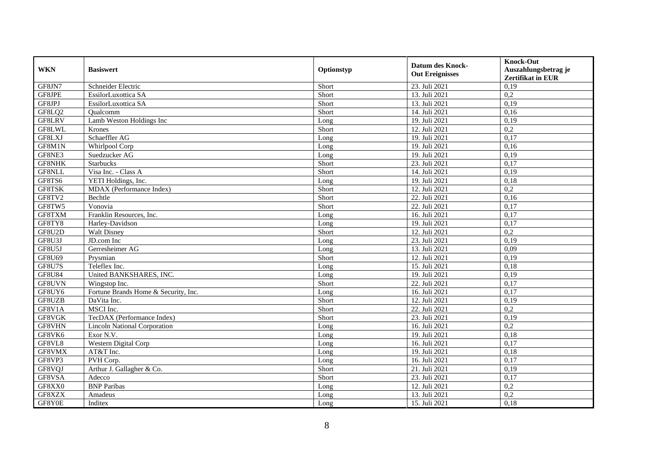| <b>WKN</b>    | <b>Basiswert</b>                     | Optionstyp | <b>Datum des Knock-</b><br><b>Out Ereignisses</b> | <b>Knock-Out</b><br>Auszahlungsbetrag je<br><b>Zertifikat in EUR</b> |
|---------------|--------------------------------------|------------|---------------------------------------------------|----------------------------------------------------------------------|
| GF8JN7        | Schneider Electric                   | Short      | 23. Juli 2021                                     | 0,19                                                                 |
| GF8JPE        | EssilorLuxottica SA                  | Short      | 13. Juli 2021                                     | 0,2                                                                  |
| GF8JPJ        | EssilorLuxottica SA                  | Short      | 13. Juli 2021                                     | 0,19                                                                 |
| GF8LQ2        | Qualcomm                             | Short      | 14. Juli 2021                                     | 0,16                                                                 |
| GF8LRV        | Lamb Weston Holdings Inc             | Long       | 19. Juli 2021                                     | 0,19                                                                 |
| GF8LWL        | Krones                               | Short      | 12. Juli 2021                                     | $\overline{0.2}$                                                     |
| GF8LXJ        | Schaeffler AG                        | Long       | 19. Juli 2021                                     | 0,17                                                                 |
| GF8M1N        | Whirlpool Corp                       | Long       | 19. Juli 2021                                     | 0,16                                                                 |
| GF8NE3        | Suedzucker AG                        | Long       | 19. Juli 2021                                     | 0,19                                                                 |
| <b>GF8NHK</b> | <b>Starbucks</b>                     | Short      | 23. Juli 2021                                     | 0,17                                                                 |
| GF8NLL        | Visa Inc. - Class A                  | Short      | 14. Juli 2021                                     | 0,19                                                                 |
| GF8TS6        | YETI Holdings, Inc.                  | Long       | 19. Juli 2021                                     | 0,18                                                                 |
| GF8TSK        | MDAX (Performance Index)             | Short      | 12. Juli 2021                                     | 0,2                                                                  |
| GF8TV2        | Bechtle                              | Short      | 22. Juli 2021                                     | 0,16                                                                 |
| GF8TW5        | Vonovia                              | Short      | 22. Juli 2021                                     | 0,17                                                                 |
| GF8TXM        | Franklin Resources, Inc.             | Long       | 16. Juli 2021                                     | 0,17                                                                 |
| GF8TY8        | Harley-Davidson                      | Long       | 19. Juli 2021                                     | 0,17                                                                 |
| GF8U2D        | Walt Disney                          | Short      | 12. Juli 2021                                     | 0,2                                                                  |
| GF8U3J        | JD.com Inc                           | Long       | 23. Juli 2021                                     | 0,19                                                                 |
| GF8U5J        | Gerresheimer AG                      | Long       | 13. Juli 2021                                     | 0,09                                                                 |
| GF8U69        | Prysmian                             | Short      | 12. Juli 2021                                     | 0,19                                                                 |
| GF8U7S        | Teleflex Inc.                        | Long       | 15. Juli 2021                                     | 0,18                                                                 |
| <b>GF8U84</b> | United BANKSHARES, INC.              | Long       | 19. Juli 2021                                     | 0,19                                                                 |
| GF8UVN        | Wingstop Inc.                        | Short      | 22. Juli 2021                                     | 0,17                                                                 |
| GF8UY6        | Fortune Brands Home & Security, Inc. | Long       | 16. Juli 2021                                     | 0,17                                                                 |
| GF8UZB        | DaVita Inc.                          | Short      | 12. Juli 2021                                     | 0,19                                                                 |
| GF8V1A        | MSCI Inc.                            | Short      | 22. Juli 2021                                     | 0,2                                                                  |
| GF8VGK        | TecDAX (Performance Index)           | Short      | 23. Juli 2021                                     | 0,19                                                                 |
| GF8VHN        | Lincoln National Corporation         | Long       | 16. Juli 2021                                     | 0,2                                                                  |
| GF8VK6        | Exor N.V.                            | Long       | 19. Juli 2021                                     | 0,18                                                                 |
| GF8VL8        | Western Digital Corp                 | Long       | 16. Juli 2021                                     | 0,17                                                                 |
| GF8VMX        | AT&T Inc.                            | Long       | 19. Juli 2021                                     | 0,18                                                                 |
| GF8VP3        | PVH Corp.                            | Long       | 16. Juli 2021                                     | 0,17                                                                 |
| GF8VQJ        | Arthur J. Gallagher & Co.            | Short      | 21. Juli 2021                                     | 0,19                                                                 |
| GF8VSA        | Adecco                               | Short      | 23. Juli 2021                                     | 0,17                                                                 |
| GF8XX0        | <b>BNP</b> Paribas                   | Long       | 12. Juli 2021                                     | 0,2                                                                  |
| GF8XZX        | Amadeus                              | Long       | 13. Juli 2021                                     | 0,2                                                                  |
| GF8Y0E        | Inditex                              | Long       | 15. Juli 2021                                     | 0,18                                                                 |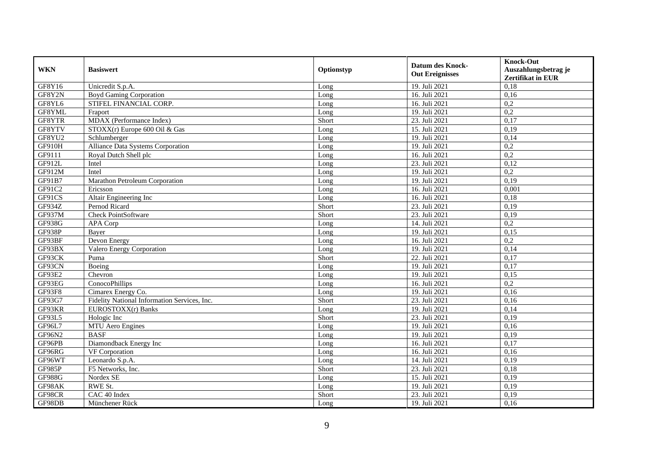| <b>WKN</b>    | <b>Basiswert</b>                             | Optionstyp | <b>Datum des Knock-</b><br><b>Out Ereignisses</b> | <b>Knock-Out</b><br>Auszahlungsbetrag je<br><b>Zertifikat in EUR</b> |
|---------------|----------------------------------------------|------------|---------------------------------------------------|----------------------------------------------------------------------|
| GF8Y16        | Unicredit S.p.A.                             | Long       | 19. Juli 2021                                     | 0,18                                                                 |
| GF8Y2N        | <b>Boyd Gaming Corporation</b>               | Long       | 16. Juli 2021                                     | 0,16                                                                 |
| GF8YL6        | STIFEL FINANCIAL CORP.                       | Long       | 16. Juli 2021                                     | 0,2                                                                  |
| GF8YML        | Fraport                                      | Long       | 19. Juli 2021                                     | 0,2                                                                  |
| GF8YTR        | MDAX (Performance Index)                     | Short      | 23. Juli 2021                                     | 0,17                                                                 |
| GF8YTV        | $STOXX(r)$ Europe 600 Oil & Gas              | Long       | 15. Juli 2021                                     | 0,19                                                                 |
| GF8YU2        | Schlumberger                                 | Long       | 19. Juli 2021                                     | 0,14                                                                 |
| GF910H        | Alliance Data Systems Corporation            | Long       | 19. Juli 2021                                     | 0,2                                                                  |
| GF9111        | Royal Dutch Shell plc                        | Long       | 16. Juli 2021                                     | 0,2                                                                  |
| GF912L        | Intel                                        | Long       | 23. Juli 2021                                     | 0,12                                                                 |
| GF912M        | Intel                                        | Long       | 19. Juli 2021                                     | 0,2                                                                  |
| GF91B7        | Marathon Petroleum Corporation               | Long       | 19. Juli 2021                                     | 0,19                                                                 |
| GF91C2        | Ericsson                                     | Long       | 16. Juli 2021                                     | 0,001                                                                |
| GF91CS        | Altair Engineering Inc                       | Long       | 16. Juli 2021                                     | 0,18                                                                 |
| GF934Z        | Pernod Ricard                                | Short      | 23. Juli 2021                                     | 0,19                                                                 |
| GF937M        | Check PointSoftware                          | Short      | 23. Juli 2021                                     | 0,19                                                                 |
| GF938G        | APA Corp                                     | Long       | 14. Juli 2021                                     | 0,2                                                                  |
| GF938P        | Baver                                        | Long       | 19. Juli 2021                                     | 0,15                                                                 |
| GF93BF        | Devon Energy                                 | Long       | 16. Juli 2021                                     | 0,2                                                                  |
| GF93BX        | Valero Energy Corporation                    | Long       | 19. Juli 2021                                     | 0,14                                                                 |
| GF93CK        | Puma                                         | Short      | 22. Juli 2021                                     | 0,17                                                                 |
| GF93CN        | Boeing                                       | Long       | 19. Juli 2021                                     | 0,17                                                                 |
| GF93E2        | Chevron                                      | Long       | 19. Juli 2021                                     | 0,15                                                                 |
| GF93EG        | ConocoPhillips                               | Long       | 16. Juli 2021                                     | 0,2                                                                  |
| GF93F8        | Cimarex Energy Co.                           | Long       | 19. Juli 2021                                     | 0.16                                                                 |
| GF93G7        | Fidelity National Information Services, Inc. | Short      | 23. Juli 2021                                     | 0,16                                                                 |
| GF93KR        | EUROSTOXX(r) Banks                           | Long       | 19. Juli 2021                                     | 0,14                                                                 |
| GF93L5        | Hologic Inc                                  | Short      | 23. Juli 2021                                     | 0,19                                                                 |
| GF96L7        | MTU Aero Engines                             | Long       | 19. Juli 2021                                     | 0,16                                                                 |
| GF96N2        | <b>BASF</b>                                  | Long       | 19. Juli 2021                                     | 0,19                                                                 |
| GF96PB        | Diamondback Energy Inc                       | Long       | 16. Juli 2021                                     | 0,17                                                                 |
| GF96RG        | VF Corporation                               | Long       | 16. Juli 2021                                     | 0,16                                                                 |
| GF96WT        | Leonardo S.p.A.                              | Long       | 14. Juli 2021                                     | 0,19                                                                 |
| GF985P        | F5 Networks, Inc.                            | Short      | 23. Juli 2021                                     | 0,18                                                                 |
| <b>GF988G</b> | Nordex SE                                    | Long       | 15. Juli 2021                                     | 0,19                                                                 |
| GF98AK        | RWE St.                                      | Long       | 19. Juli 2021                                     | 0,19                                                                 |
| GF98CR        | CAC 40 Index                                 | Short      | 23. Juli 2021                                     | 0,19                                                                 |
| GF98DB        | Münchener Rück                               | Long       | 19. Juli 2021                                     | 0,16                                                                 |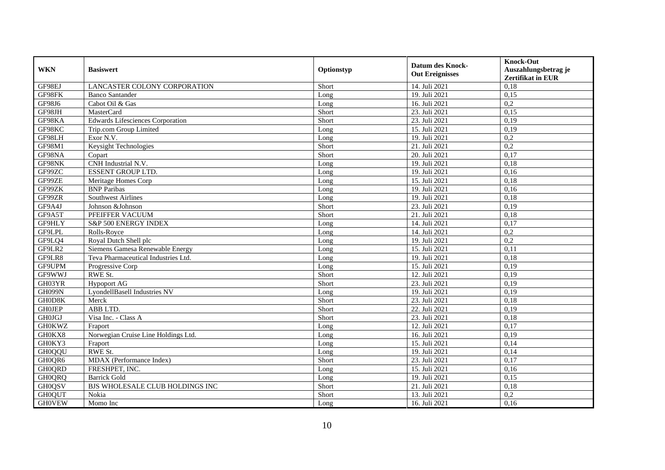| <b>WKN</b>    | <b>Basiswert</b>                        | Optionstyp | <b>Datum des Knock-</b><br><b>Out Ereignisses</b> | <b>Knock-Out</b><br>Auszahlungsbetrag je<br><b>Zertifikat in EUR</b> |
|---------------|-----------------------------------------|------------|---------------------------------------------------|----------------------------------------------------------------------|
| GF98EJ        | LANCASTER COLONY CORPORATION            | Short      | 14. Juli 2021                                     | 0,18                                                                 |
| GF98FK        | <b>Banco Santander</b>                  | Long       | 19. Juli 2021                                     | 0,15                                                                 |
| GF98J6        | Cabot Oil & Gas                         | Long       | 16. Juli 2021                                     | 0,2                                                                  |
| GF98JH        | MasterCard                              | Short      | 23. Juli 2021                                     | 0,15                                                                 |
| GF98KA        | <b>Edwards Lifesciences Corporation</b> | Short      | 23. Juli 2021                                     | 0,19                                                                 |
| GF98KC        | Trip.com Group Limited                  | Long       | 15. Juli 2021                                     | 0,19                                                                 |
| GF98LH        | Exor N.V.                               | Long       | 19. Juli 2021                                     | 0,2                                                                  |
| GF98M1        | <b>Keysight Technologies</b>            | Short      | 21. Juli 2021                                     | 0,2                                                                  |
| GF98NA        | Copart                                  | Short      | 20. Juli 2021                                     | 0,17                                                                 |
| GF98NK        | CNH Industrial N.V.                     | Long       | 19. Juli 2021                                     | 0,18                                                                 |
| GF99ZC        | <b>ESSENT GROUP LTD.</b>                | Long       | 19. Juli 2021                                     | 0,16                                                                 |
| GF99ZE        | Meritage Homes Corp                     | Long       | 15. Juli 2021                                     | 0,18                                                                 |
| GF99ZK        | <b>BNP</b> Paribas                      | Long       | 19. Juli 2021                                     | 0,16                                                                 |
| GF99ZR        | <b>Southwest Airlines</b>               | Long       | 19. Juli 2021                                     | 0,18                                                                 |
| GF9A4J        | Johnson &Johnson                        | Short      | 23. Juli 2021                                     | 0,19                                                                 |
| GF9A5T        | PFEIFFER VACUUM                         | Short      | 21. Juli 2021                                     | 0,18                                                                 |
| GF9HLY        | S&P 500 ENERGY INDEX                    | Long       | 14. Juli 2021                                     | 0,17                                                                 |
| GF9LPL        | Rolls-Rovce                             | Long       | 14. Juli 2021                                     | 0,2                                                                  |
| GF9LQ4        | Royal Dutch Shell plc                   | Long       | 19. Juli 2021                                     | 0,2                                                                  |
| GF9LR2        | Siemens Gamesa Renewable Energy         | Long       | 15. Juli 2021                                     | 0,11                                                                 |
| GF9LR8        | Teva Pharmaceutical Industries Ltd.     | Long       | 19. Juli 2021                                     | 0,18                                                                 |
| GF9UPM        | Progressive Corp                        | Long       | 15. Juli 2021                                     | 0,19                                                                 |
| GF9WWJ        | RWE St.                                 | Short      | 12. Juli 2021                                     | 0,19                                                                 |
| GH03YR        | <b>Hypoport AG</b>                      | Short      | 23. Juli 2021                                     | 0,19                                                                 |
| <b>GH099N</b> | LyondellBasell Industries NV            | Long       | 19. Juli 2021                                     | 0.19                                                                 |
| GH0D8K        | Merck                                   | Short      | 23. Juli 2021                                     | 0,18                                                                 |
| <b>GHOJEP</b> | ABB LTD.                                | Short      | 22. Juli 2021                                     | 0,19                                                                 |
| <b>GH0JGJ</b> | Visa Inc. - Class A                     | Short      | 23. Juli 2021                                     | 0,18                                                                 |
| <b>GH0KWZ</b> | Fraport                                 | Long       | 12. Juli 2021                                     | 0,17                                                                 |
| GH0KX8        | Norwegian Cruise Line Holdings Ltd.     | Long       | 16. Juli 2021                                     | 0,19                                                                 |
| GH0KY3        | Fraport                                 | Long       | 15. Juli 2021                                     | 0,14                                                                 |
| <b>GH0QQU</b> | RWE St.                                 | Long       | 19. Juli 2021                                     | 0,14                                                                 |
| GH0QR6        | MDAX (Performance Index)                | Short      | 23. Juli 2021                                     | 0,17                                                                 |
| GH0QRD        | FRESHPET, INC.                          | Long       | 15. Juli 2021                                     | 0,16                                                                 |
| <b>GH0QRQ</b> | <b>Barrick Gold</b>                     | Long       | 19. Juli 2021                                     | 0,15                                                                 |
| <b>GH0QSV</b> | BJS WHOLESALE CLUB HOLDINGS INC         | Short      | 21. Juli 2021                                     | 0,18                                                                 |
| <b>GH0QUT</b> | Nokia                                   | Short      | 13. Juli 2021                                     | 0,2                                                                  |
| <b>GHOVEW</b> | Momo Inc                                | Long       | 16. Juli 2021                                     | 0,16                                                                 |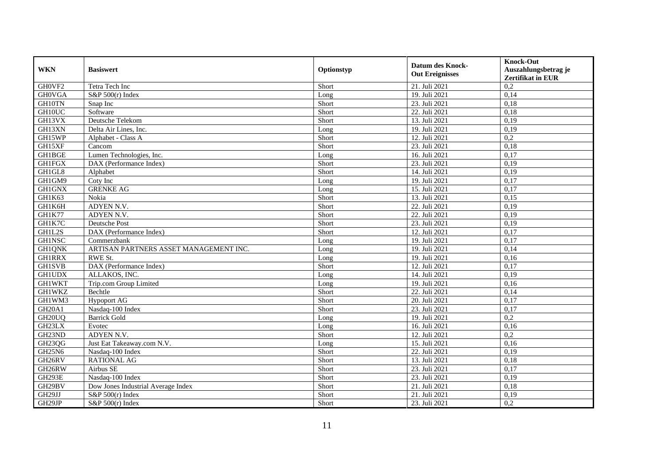| <b>WKN</b>                      | <b>Basiswert</b>                       | Optionstyp | <b>Datum des Knock-</b><br><b>Out Ereignisses</b> | <b>Knock-Out</b><br>Auszahlungsbetrag je<br><b>Zertifikat in EUR</b> |
|---------------------------------|----------------------------------------|------------|---------------------------------------------------|----------------------------------------------------------------------|
| GH0VF2                          | Tetra Tech Inc                         | Short      | 21. Juli 2021                                     | 0,2                                                                  |
| <b>GHOVGA</b>                   | S&P $500(r)$ Index                     | Long       | 19. Juli 2021                                     | 0,14                                                                 |
| GH10TN                          | Snap Inc                               | Short      | 23. Juli 2021                                     | 0,18                                                                 |
| GH10UC                          | Software                               | Short      | 22. Juli 2021                                     | 0,18                                                                 |
| GH13VX                          | Deutsche Telekom                       | Short      | 13. Juli 2021                                     | 0,19                                                                 |
| GH13XN                          | Delta Air Lines, Inc.                  | Long       | 19. Juli 2021                                     | 0,19                                                                 |
| GH15WP                          | Alphabet - Class A                     | Short      | 12. Juli 2021                                     | 0,2                                                                  |
| GH15XF                          | Cancom                                 | Short      | 23. Juli 2021                                     | 0,18                                                                 |
| GH1BGE                          | Lumen Technologies, Inc.               | Long       | 16. Juli 2021                                     | 0,17                                                                 |
| <b>GH1FGX</b>                   | DAX (Performance Index)                | Short      | 23. Juli 2021                                     | 0,19                                                                 |
| GH1GL8                          | Alphabet                               | Short      | 14. Juli 2021                                     | 0,19                                                                 |
| GH1GM9                          | Coty Inc                               | Long       | 19. Juli 2021                                     | 0,17                                                                 |
| <b>GH1GNX</b>                   | <b>GRENKE AG</b>                       | Long       | 15. Juli 2021                                     | 0,17                                                                 |
| GH1K63                          | Nokia                                  | Short      | 13. Juli 2021                                     | 0,15                                                                 |
| GH1K6H                          | ADYEN N.V.                             | Short      | 22. Juli 2021                                     | 0,19                                                                 |
| GH1K77                          | ADYEN N.V.                             | Short      | 22. Juli 2021                                     | 0,19                                                                 |
| GH1K7C                          | Deutsche Post                          | Short      | 23. Juli 2021                                     | 0,19                                                                 |
| GH1L2S                          | DAX (Performance Index)                | Short      | 12. Juli 2021                                     | 0,17                                                                 |
| <b>GH1NSC</b>                   | Commerzbank                            | Long       | 19. Juli 2021                                     | 0,17                                                                 |
| <b>GH1QNK</b>                   | ARTISAN PARTNERS ASSET MANAGEMENT INC. | Long       | 19. Juli 2021                                     | 0,14                                                                 |
| <b>GH1RRX</b>                   | RWE St.                                | Long       | 19. Juli 2021                                     | 0,16                                                                 |
| <b>GH1SVB</b>                   | DAX (Performance Index)                | Short      | 12. Juli 2021                                     | 0,17                                                                 |
| <b>GH1UDX</b>                   | ALLAKOS, INC.                          | Long       | 14. Juli 2021                                     | 0,19                                                                 |
| <b>GH1WKT</b>                   | Trip.com Group Limited                 | Long       | 19. Juli 2021                                     | 0,16                                                                 |
| <b>GH1WKZ</b>                   | Bechtle                                | Short      | 22. Juli 2021                                     | 0,14                                                                 |
| GH1WM3                          | <b>Hypoport AG</b>                     | Short      | 20. Juli 2021                                     | 0,17                                                                 |
| GH <sub>20</sub> A <sub>1</sub> | Nasdaq-100 Index                       | Short      | 23. Juli 2021                                     | 0,17                                                                 |
| GH <sub>20</sub> UQ             | <b>Barrick Gold</b>                    | Long       | 19. Juli 2021                                     | 0,2                                                                  |
| GH23LX                          | Evotec                                 | Long       | 16. Juli 2021                                     | 0,16                                                                 |
| GH23ND                          | ADYEN N.V.                             | Short      | 12. Juli 2021                                     | 0,2                                                                  |
| GH23QG                          | Just Eat Takeaway.com N.V.             | Long       | 15. Juli 2021                                     | 0,16                                                                 |
| GH25N6                          | Nasdaq-100 Index                       | Short      | 22. Juli 2021                                     | 0,19                                                                 |
| GH <sub>26RV</sub>              | <b>RATIONAL AG</b>                     | Short      | 13. Juli 2021                                     | 0,18                                                                 |
| GH26RW                          | Airbus SE                              | Short      | 23. Juli 2021                                     | 0,17                                                                 |
| <b>GH293E</b>                   | Nasdaq-100 Index                       | Short      | 23. Juli 2021                                     | 0,19                                                                 |
| GH29BV                          | Dow Jones Industrial Average Index     | Short      | 21. Juli 2021                                     | 0,18                                                                 |
| GH29JJ                          | S&P 500(r) Index                       | Short      | 21. Juli 2021                                     | 0,19                                                                 |
| GH29JP                          | S&P $500(r)$ Index                     | Short      | 23. Juli 2021                                     | 0,2                                                                  |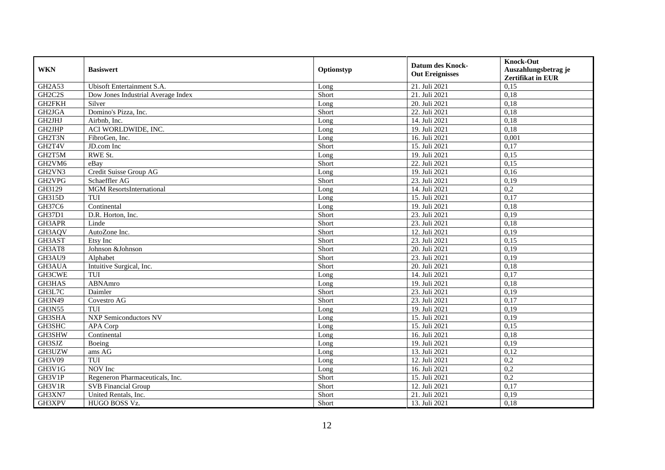| <b>WKN</b>    | <b>Basiswert</b>                   | Optionstyp | <b>Datum des Knock-</b><br><b>Out Ereignisses</b> | <b>Knock-Out</b><br>Auszahlungsbetrag je<br><b>Zertifikat in EUR</b> |
|---------------|------------------------------------|------------|---------------------------------------------------|----------------------------------------------------------------------|
| <b>GH2A53</b> | Ubisoft Entertainment S.A.         | Long       | 21. Juli 2021                                     | 0,15                                                                 |
| GH2C2S        | Dow Jones Industrial Average Index | Short      | 21. Juli 2021                                     | 0,18                                                                 |
| GH2FKH        | Silver                             | Long       | 20. Juli 2021                                     | 0,18                                                                 |
| GH2JGA        | Domino's Pizza, Inc.               | Short      | 22. Juli 2021                                     | 0.18                                                                 |
| GH2JHJ        | Airbnb, Inc.                       | Long       | 14. Juli 2021                                     | 0,18                                                                 |
| GH2JHP        | ACI WORLDWIDE, INC.                | Long       | 19. Juli 2021                                     | 0,18                                                                 |
| GH2T3N        | FibroGen, Inc.                     | Long       | 16. Juli 2021                                     | 0,001                                                                |
| GH2T4V        | JD.com Inc                         | Short      | 15. Juli 2021                                     | 0,17                                                                 |
| GH2T5M        | RWE St.                            | Long       | 19. Juli 2021                                     | 0,15                                                                 |
| GH2VM6        | eBay                               | Short      | 22. Juli 2021                                     | 0,15                                                                 |
| GH2VN3        | Credit Suisse Group AG             | Long       | 19. Juli 2021                                     | 0.16                                                                 |
| GH2VPG        | Schaeffler AG                      | Short      | 23. Juli 2021                                     | 0,19                                                                 |
| GH3129        | <b>MGM</b> ResortsInternational    | Long       | 14. Juli 2021                                     | 0,2                                                                  |
| GH315D        | TUI                                | Long       | 15. Juli 2021                                     | 0,17                                                                 |
| GH37C6        | Continental                        | Long       | 19. Juli 2021                                     | 0,18                                                                 |
| GH37D1        | D.R. Horton, Inc.                  | Short      | 23. Juli 2021                                     | 0,19                                                                 |
| GH3APR        | Linde                              | Short      | 23. Juli 2021                                     | 0,18                                                                 |
| GH3AQV        | AutoZone Inc.                      | Short      | 12. Juli 2021                                     | 0,19                                                                 |
| GH3AST        | Etsy Inc                           | Short      | 23. Juli 2021                                     | 0,15                                                                 |
| GH3AT8        | Johnson &Johnson                   | Short      | 20. Juli 2021                                     | 0,19                                                                 |
| GH3AU9        | Alphabet                           | Short      | 23. Juli 2021                                     | 0,19                                                                 |
| GH3AUA        | Intuitive Surgical, Inc.           | Short      | 20. Juli 2021                                     | 0,18                                                                 |
| GH3CWE        | TUI                                | Long       | 14. Juli 2021                                     | 0,17                                                                 |
| GH3HAS        | ABNAmro                            | Long       | 19. Juli 2021                                     | 0,18                                                                 |
| GH3L7C        | Daimler                            | Short      | 23. Juli 2021                                     | 0,19                                                                 |
| GH3N49        | Covestro AG                        | Short      | 23. Juli 2021                                     | 0,17                                                                 |
| <b>GH3N55</b> | TUI                                | Long       | 19. Juli 2021                                     | 0,19                                                                 |
| GH3SHA        | <b>NXP Semiconductors NV</b>       | Long       | 15. Juli 2021                                     | 0,19                                                                 |
| GH3SHC        | APA Corp                           | Long       | 15. Juli 2021                                     | 0,15                                                                 |
| GH3SHW        | Continental                        | Long       | 16. Juli 2021                                     | 0,18                                                                 |
| GH3SJZ        | Boeing                             | Long       | 19. Juli 2021                                     | 0,19                                                                 |
| GH3UZW        | ams AG                             | Long       | 13. Juli 2021                                     | 0,12                                                                 |
| GH3V09        | TUI                                | Long       | 12. Juli 2021                                     | 0,2                                                                  |
| GH3V1G        | NOV Inc                            | Long       | 16. Juli 2021                                     | 0,2                                                                  |
| GH3V1P        | Regeneron Pharmaceuticals, Inc.    | Short      | 15. Juli 2021                                     | 0,2                                                                  |
| GH3V1R        | <b>SVB</b> Financial Group         | Short      | 12. Juli 2021                                     | 0,17                                                                 |
| GH3XN7        | United Rentals, Inc.               | Short      | 21. Juli 2021                                     | 0,19                                                                 |
| GH3XPV        | HUGO BOSS Vz.                      | Short      | 13. Juli 2021                                     | 0,18                                                                 |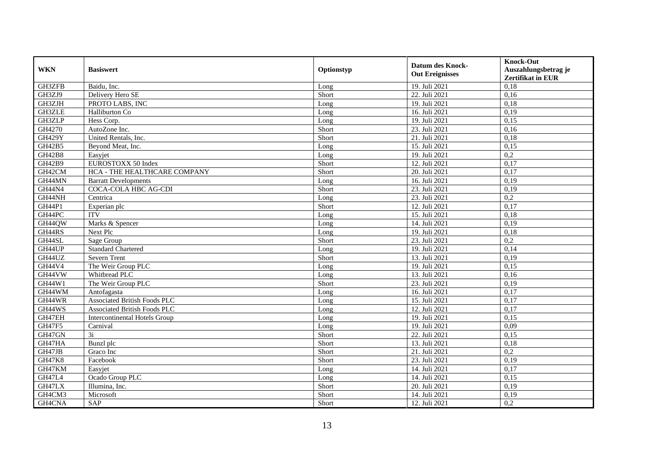| <b>WKN</b>    | <b>Basiswert</b>                     | Optionstyp | <b>Datum des Knock-</b><br><b>Out Ereignisses</b> | <b>Knock-Out</b><br>Auszahlungsbetrag je<br><b>Zertifikat in EUR</b> |
|---------------|--------------------------------------|------------|---------------------------------------------------|----------------------------------------------------------------------|
| GH3ZFB        | Baidu, Inc.                          | Long       | 19. Juli 2021                                     | 0,18                                                                 |
| GH3ZJ9        | Delivery Hero SE                     | Short      | 22. Juli 2021                                     | 0,16                                                                 |
| GH3ZJH        | PROTO LABS, INC                      | Long       | 19. Juli 2021                                     | 0,18                                                                 |
| GH3ZLE        | Halliburton Co                       | Long       | 16. Juli 2021                                     | 0,19                                                                 |
| GH3ZLP        | Hess Corp.                           | Long       | 19. Juli 2021                                     | 0,15                                                                 |
| GH4270        | AutoZone Inc.                        | Short      | 23. Juli 2021                                     | 0.16                                                                 |
| <b>GH429Y</b> | United Rentals, Inc.                 | Short      | 21. Juli 2021                                     | 0,18                                                                 |
| GH42B5        | Beyond Meat, Inc.                    | Long       | 15. Juli 2021                                     | 0,15                                                                 |
| <b>GH42B8</b> | Easyjet                              | Long       | 19. Juli 2021                                     | 0,2                                                                  |
| GH42B9        | EUROSTOXX 50 Index                   | Short      | 12. Juli 2021                                     | 0,17                                                                 |
| GH42CM        | HCA - THE HEALTHCARE COMPANY         | Short      | 20. Juli 2021                                     | 0,17                                                                 |
| GH44MN        | <b>Barratt Developments</b>          | Long       | 16. Juli 2021                                     | 0,19                                                                 |
| <b>GH44N4</b> | <b>COCA-COLA HBC AG-CDI</b>          | Short      | 23. Juli 2021                                     | 0,19                                                                 |
| GH44NH        | Centrica                             | Long       | 23. Juli 2021                                     | 0,2                                                                  |
| GH44P1        | Experian plc                         | Short      | 12. Juli 2021                                     | 0,17                                                                 |
| GH44PC        | <b>ITV</b>                           | Long       | 15. Juli 2021                                     | 0,18                                                                 |
| GH44QW        | Marks & Spencer                      | Long       | 14. Juli 2021                                     | 0,19                                                                 |
| GH44RS        | Next Plc                             | Long       | 19. Juli 2021                                     | 0,18                                                                 |
| GH44SL        | Sage Group                           | Short      | 23. Juli 2021                                     | 0,2                                                                  |
| GH44UP        | <b>Standard Chartered</b>            | Long       | 19. Juli 2021                                     | 0,14                                                                 |
| GH44UZ        | <b>Severn Trent</b>                  | Short      | 13. Juli 2021                                     | 0,19                                                                 |
| GH44V4        | The Weir Group PLC                   | Long       | 19. Juli 2021                                     | 0,15                                                                 |
| GH44VW        | Whitbread PLC                        | Long       | 13. Juli 2021                                     | 0,16                                                                 |
| GH44W1        | The Weir Group PLC                   | Short      | 23. Juli 2021                                     | 0,19                                                                 |
| GH44WM        | Antofagasta                          | Long       | 16. Juli 2021                                     | 0,17                                                                 |
| GH44WR        | <b>Associated British Foods PLC</b>  | Long       | 15. Juli 2021                                     | 0,17                                                                 |
| GH44WS        | <b>Associated British Foods PLC</b>  | Long       | 12. Juli 2021                                     | 0,17                                                                 |
| GH47EH        | <b>Intercontinental Hotels Group</b> | Long       | 19. Juli 2021                                     | 0,15                                                                 |
| <b>GH47F5</b> | Carnival                             | Long       | 19. Juli 2021                                     | 0,09                                                                 |
| GH47GN        | 3i                                   | Short      | 22. Juli 2021                                     | 0,15                                                                 |
| GH47HA        | Bunzl plc                            | Short      | 13. Juli 2021                                     | 0,18                                                                 |
| GH47JB        | Graco Inc                            | Short      | 21. Juli 2021                                     | 0,2                                                                  |
| <b>GH47K8</b> | Facebook                             | Short      | 23. Juli 2021                                     | 0,19                                                                 |
| GH47KM        | Easyjet                              | Long       | 14. Juli 2021                                     | 0,17                                                                 |
| GH47L4        | Ocado Group PLC                      | Long       | 14. Juli 2021                                     | 0,15                                                                 |
| GH47LX        | Illumina, Inc.                       | Short      | 20. Juli 2021                                     | 0,19                                                                 |
| GH4CM3        | Microsoft                            | Short      | 14. Juli 2021                                     | 0,19                                                                 |
| GH4CNA        | <b>SAP</b>                           | Short      | 12. Juli 2021                                     | 0,2                                                                  |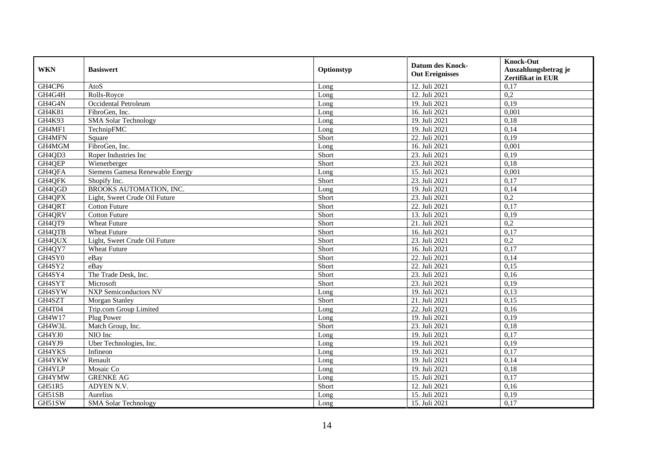| <b>WKN</b> | <b>Basiswert</b>                | Optionstyp | <b>Datum des Knock-</b><br><b>Out Ereignisses</b> | <b>Knock-Out</b><br>Auszahlungsbetrag je<br>Zertifikat in EUR |
|------------|---------------------------------|------------|---------------------------------------------------|---------------------------------------------------------------|
| GH4CP6     | AtoS                            | Long       | 12. Juli 2021                                     | 0,17                                                          |
| GH4G4H     | Rolls-Royce                     | Long       | 12. Juli 2021                                     | 0,2                                                           |
| GH4G4N     | Occidental Petroleum            | Long       | 19. Juli 2021                                     | 0,19                                                          |
| GH4K81     | FibroGen, Inc.                  | Long       | 16. Juli 2021                                     | 0,001                                                         |
| GH4K93     | <b>SMA</b> Solar Technology     | Long       | 19. Juli 2021                                     | 0,18                                                          |
| GH4MF1     | TechnipFMC                      | Long       | 19. Juli 2021                                     | 0,14                                                          |
| GH4MFN     | Square                          | Short      | 22. Juli 2021                                     | 0,19                                                          |
| GH4MGM     | FibroGen, Inc.                  | Long       | 16. Juli 2021                                     | 0,001                                                         |
| GH4QD3     | Roper Industries Inc            | Short      | 23. Juli 2021                                     | 0,19                                                          |
| GH4QEP     | Wienerberger                    | Short      | 23. Juli 2021                                     | 0,18                                                          |
| GH4QFA     | Siemens Gamesa Renewable Energy | Long       | 15. Juli 2021                                     | 0,001                                                         |
| GH4QFK     | Shopify Inc.                    | Short      | 23. Juli 2021                                     | 0,17                                                          |
| GH4QGD     | BROOKS AUTOMATION, INC.         | Long       | 19. Juli 2021                                     | 0,14                                                          |
| GH4QPX     | Light, Sweet Crude Oil Future   | Short      | 23. Juli 2021                                     | 0,2                                                           |
| GH4QRT     | <b>Cotton Future</b>            | Short      | 22. Juli 2021                                     | 0,17                                                          |
| GH4QRV     | <b>Cotton Future</b>            | Short      | 13. Juli 2021                                     | 0,19                                                          |
| GH4QT9     | <b>Wheat Future</b>             | Short      | 21. Juli 2021                                     | 0,2                                                           |
| GH4QTB     | Wheat Future                    | Short      | 16. Juli 2021                                     | 0,17                                                          |
| GH4QUX     | Light, Sweet Crude Oil Future   | Short      | 23. Juli 2021                                     | 0,2                                                           |
| GH4QY7     | <b>Wheat Future</b>             | Short      | 16. Juli 2021                                     | 0,17                                                          |
| GH4SY0     | eBay                            | Short      | 22. Juli 2021                                     | 0,14                                                          |
| GH4SY2     | eBay                            | Short      | 22. Juli 2021                                     | 0,15                                                          |
| GH4SY4     | The Trade Desk, Inc.            | Short      | 23. Juli 2021                                     | 0,16                                                          |
| GH4SYT     | Microsoft                       | Short      | 23. Juli 2021                                     | 0,19                                                          |
| GH4SYW     | <b>NXP Semiconductors NV</b>    | Long       | 19. Juli 2021                                     | 0,13                                                          |
| GH4SZT     | Morgan Stanley                  | Short      | 21. Juli 2021                                     | 0,15                                                          |
| GH4T04     | Trip.com Group Limited          | Long       | 22. Juli 2021                                     | 0,16                                                          |
| GH4W17     | Plug Power                      | Long       | 19. Juli 2021                                     | 0,19                                                          |
| GH4W3L     | Match Group, Inc.               | Short      | 23. Juli 2021                                     | 0,18                                                          |
| GH4YJ0     | NIO Inc                         | Long       | 19. Juli 2021                                     | 0,17                                                          |
| GH4YJ9     | Uber Technologies, Inc.         | Long       | 19. Juli 2021                                     | 0,19                                                          |
| GH4YKS     | Infineon                        | Long       | 19. Juli 2021                                     | 0,17                                                          |
| GH4YKW     | Renault                         | Long       | 19. Juli 2021                                     | 0,14                                                          |
| GH4YLP     | Mosaic Co                       | Long       | 19. Juli 2021                                     | 0,18                                                          |
| GH4YMW     | <b>GRENKE AG</b>                | Long       | 15. Juli 2021                                     | 0,17                                                          |
| GH51R5     | ADYEN N.V.                      | Short      | 12. Juli 2021                                     | 0,16                                                          |
| GH51SB     | Aurelius                        | Long       | 15. Juli 2021                                     | 0,19                                                          |
| GH51SW     | <b>SMA Solar Technology</b>     | Long       | 15. Juli 2021                                     | 0,17                                                          |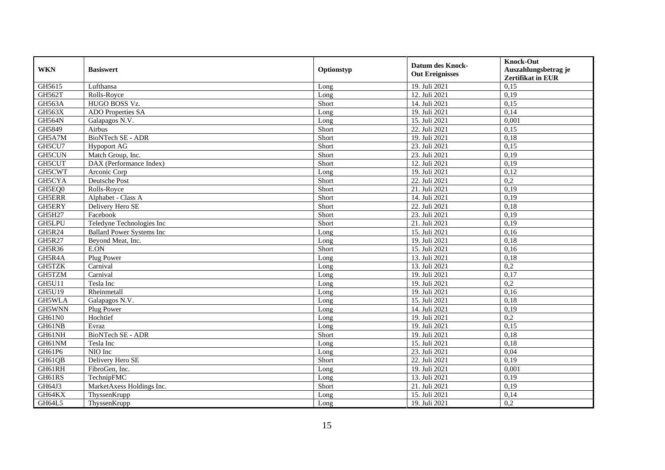| <b>WKN</b>    | <b>Basiswert</b>                 | Optionstyp | <b>Datum des Knock-</b><br><b>Out Ereignisses</b> | <b>Knock-Out</b><br>Auszahlungsbetrag je<br>Zertifikat in EUR |
|---------------|----------------------------------|------------|---------------------------------------------------|---------------------------------------------------------------|
| GH5615        | Lufthansa                        | Long       | 19. Juli 2021                                     | 0,15                                                          |
| GH562T        | Rolls-Royce                      | Long       | 12. Juli 2021                                     | 0,19                                                          |
| GH563A        | HUGO BOSS Vz.                    | Short      | 14. Juli 2021                                     | 0,15                                                          |
| <b>GH563X</b> | <b>ADO</b> Properties SA         | Long       | 19. Juli 2021                                     | 0,14                                                          |
| GH564N        | Galapagos N.V.                   | Long       | 15. Juli 2021                                     | 0,001                                                         |
| GH5849        | Airbus                           | Short      | 22. Juli 2021                                     | 0.15                                                          |
| GH5A7M        | <b>BioNTech SE - ADR</b>         | Short      | 19. Juli 2021                                     | 0,18                                                          |
| GH5CU7        | <b>Hypoport AG</b>               | Short      | 23. Juli 2021                                     | 0,15                                                          |
| GH5CUN        | Match Group, Inc.                | Short      | 23. Juli 2021                                     | 0,19                                                          |
| GH5CUT        | DAX (Performance Index)          | Short      | 12. Juli 2021                                     | 0,19                                                          |
| GH5CWT        | Arconic Corp                     | Long       | 19. Juli 2021                                     | 0,12                                                          |
| GH5CYA        | Deutsche Post                    | Short      | 22. Juli 2021                                     | 0,2                                                           |
| GH5EQ0        | Rolls-Royce                      | Short      | 21. Juli 2021                                     | 0,19                                                          |
| <b>GH5ERR</b> | Alphabet - Class A               | Short      | 14. Juli 2021                                     | 0,19                                                          |
| GH5ERY        | Delivery Hero SE                 | Short      | 22. Juli 2021                                     | 0,18                                                          |
| GH5H27        | Facebook                         | Short      | 23. Juli 2021                                     | 0,19                                                          |
| GH5LPU        | Teledyne Technologies Inc        | Short      | $\overline{21}$ . Juli 2021                       | 0,19                                                          |
| GH5R24        | <b>Ballard Power Systems Inc</b> | Long       | 15. Juli 2021                                     | 0,16                                                          |
| GH5R27        | Beyond Meat, Inc.                | Long       | 19. Juli 2021                                     | 0,18                                                          |
| GH5R36        | E.ON                             | Short      | 15. Juli 2021                                     | 0,16                                                          |
| GH5R4A        | Plug Power                       | Long       | 13. Juli 2021                                     | 0,18                                                          |
| GH5TZK        | Carnival                         | Long       | 13. Juli 2021                                     | 0,2                                                           |
| GH5TZM        | Carnival                         | Long       | 19. Juli 2021                                     | 0,17                                                          |
| <b>GH5U11</b> | Tesla Inc                        | Long       | 19. Juli 2021                                     | 0,2                                                           |
| GH5U19        | Rheinmetall                      | Long       | 19. Juli 2021                                     | 0.16                                                          |
| GH5WLA        | Galapagos N.V.                   | Long       | 15. Juli 2021                                     | 0,18                                                          |
| GH5WNN        | Plug Power                       | Long       | 14. Juli 2021                                     | 0,19                                                          |
| GH61N0        | Hochtief                         | Long       | 19. Juli 2021                                     | 0,2                                                           |
| GH61NB        | Evraz                            | Long       | 19. Juli 2021                                     | 0,15                                                          |
| GH61NH        | BioNTech SE - ADR                | Short      | 19. Juli 2021                                     | 0,18                                                          |
| GH61NM        | Tesla Inc                        | Long       | 15. Juli 2021                                     | 0,18                                                          |
| GH61P6        | NIO Inc                          | Long       | 23. Juli 2021                                     | 0,04                                                          |
| GH61QB        | Delivery Hero SE                 | Short      | 22. Juli 2021                                     | 0,19                                                          |
| GH61RH        | FibroGen, Inc.                   | Long       | 19. Juli 2021                                     | 0,001                                                         |
| GH61RS        | TechnipFMC                       | Long       | 13. Juli 2021                                     | 0,19                                                          |
| GH64J3        | MarketAxess Holdings Inc.        | Short      | 21. Juli 2021                                     | 0,19                                                          |
| GH64KX        | ThyssenKrupp                     | Long       | 15. Juli 2021                                     | 0,14                                                          |
| GH64L5        | ThyssenKrupp                     | Long       | 19. Juli 2021                                     | 0,2                                                           |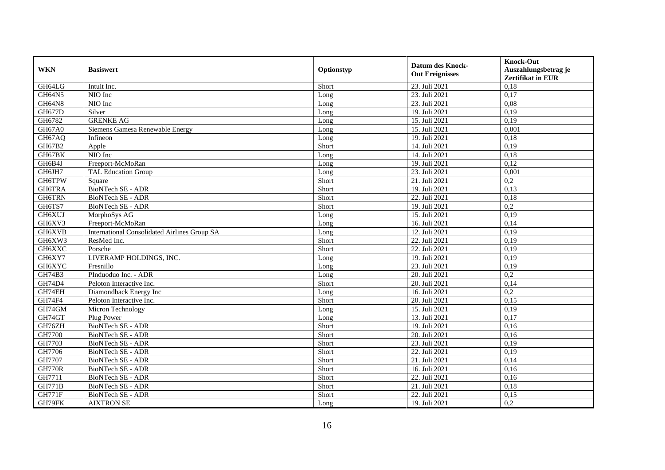| <b>WKN</b>         | <b>Basiswert</b>                                    | Optionstyp | <b>Datum des Knock-</b><br><b>Out Ereignisses</b> | <b>Knock-Out</b><br>Auszahlungsbetrag je<br>Zertifikat in EUR |
|--------------------|-----------------------------------------------------|------------|---------------------------------------------------|---------------------------------------------------------------|
| GH64LG             | Intuit Inc.                                         | Short      | 23. Juli 2021                                     | 0,18                                                          |
| GH64N5             | NIO Inc                                             | Long       | 23. Juli 2021                                     | 0,17                                                          |
| GH64N8             | NIO Inc                                             | Long       | 23. Juli 2021                                     | 0,08                                                          |
| <b>GH677D</b>      | Silver                                              | Long       | 19. Juli 2021                                     | 0,19                                                          |
| GH6782             | <b>GRENKE AG</b>                                    | Long       | 15. Juli 2021                                     | 0,19                                                          |
| GH67A0             | Siemens Gamesa Renewable Energy                     | Long       | 15. Juli 2021                                     | 0,001                                                         |
| GH67AQ             | Infineon                                            | Long       | 19. Juli 2021                                     | 0,18                                                          |
| GH67B2             | Apple                                               | Short      | 14. Juli 2021                                     | 0,19                                                          |
| GH67BK             | NIO Inc                                             | Long       | 14. Juli 2021                                     | 0,18                                                          |
| GH6B4J             | Freeport-McMoRan                                    | Long       | 19. Juli 2021                                     | 0,12                                                          |
| GH6JH7             | <b>TAL Education Group</b>                          | Long       | 23. Juli 2021                                     | 0,001                                                         |
| GH6TPW             | Square                                              | Short      | 21. Juli 2021                                     | 0,2                                                           |
| GH6TRA             | <b>BioNTech SE - ADR</b>                            | Short      | 19. Juli 2021                                     | 0,13                                                          |
| <b>GH6TRN</b>      | <b>BioNTech SE - ADR</b>                            | Short      | 22. Juli 2021                                     | 0,18                                                          |
| GH6TS7             | BioNTech SE - ADR                                   | Short      | 19. Juli 2021                                     | 0,2                                                           |
| GH6XUJ             | MorphoSys AG                                        | Long       | 15. Juli 2021                                     | 0,19                                                          |
| GH6XV3             | Freeport-McMoRan                                    | Long       | 16. Juli 2021                                     | 0,14                                                          |
| GH6XVB             | <b>International Consolidated Airlines Group SA</b> | Long       | 12. Juli 2021                                     | 0,19                                                          |
| GH6XW3             | ResMed Inc.                                         | Short      | 22. Juli 2021                                     | 0,19                                                          |
| GH6XXC             | Porsche                                             | Short      | 22. Juli 2021                                     | 0,19                                                          |
| GH6XY7             | LIVERAMP HOLDINGS, INC.                             | Long       | 19. Juli 2021                                     | 0,19                                                          |
| GH6XYC             | Fresnillo                                           | Long       | 23. Juli 2021                                     | 0,19                                                          |
| GH74B3             | PInduoduo Inc. - ADR                                | Long       | 20. Juli 2021                                     | 0,2                                                           |
| GH74D4             | Peloton Interactive Inc.                            | Short      | 20. Juli 2021                                     | 0,14                                                          |
| GH74EH             | Diamondback Energy Inc                              | Long       | 16. Juli 2021                                     | 0,2                                                           |
| GH74F4             | Peloton Interactive Inc.                            | Short      | 20. Juli 2021                                     | 0,15                                                          |
| GH74GM             | Micron Technology                                   | Long       | 15. Juli 2021                                     | 0,19                                                          |
| GH74GT             | Plug Power                                          | Long       | 13. Juli 2021                                     | 0,17                                                          |
| GH76ZH             | <b>BioNTech SE - ADR</b>                            | Short      | 19. Juli 2021                                     | 0,16                                                          |
| GH7700             | BioNTech SE - ADR                                   | Short      | 20. Juli 2021                                     | 0.16                                                          |
| GH7703             | BioNTech SE - ADR                                   | Short      | 23. Juli 2021                                     | 0,19                                                          |
| GH7706             | BioNTech SE - ADR                                   | Short      | 22. Juli 2021                                     | 0,19                                                          |
| GH7707             | <b>BioNTech SE - ADR</b>                            | Short      | 21. Juli 2021                                     | 0,14                                                          |
| <b>GH770R</b>      | BioNTech SE - ADR                                   | Short      | 16. Juli 2021                                     | 0,16                                                          |
| G <sub>H7711</sub> | BioNTech SE - ADR                                   | Short      | 22. Juli 2021                                     | 0,16                                                          |
| <b>GH771B</b>      | BioNTech SE - ADR                                   | Short      | 21. Juli 2021                                     | 0,18                                                          |
| <b>GH771F</b>      | BioNTech SE - ADR                                   | Short      | 22. Juli 2021                                     | 0,15                                                          |
| GH79FK             | <b>AIXTRON SE</b>                                   | Long       | 19. Juli 2021                                     | 0,2                                                           |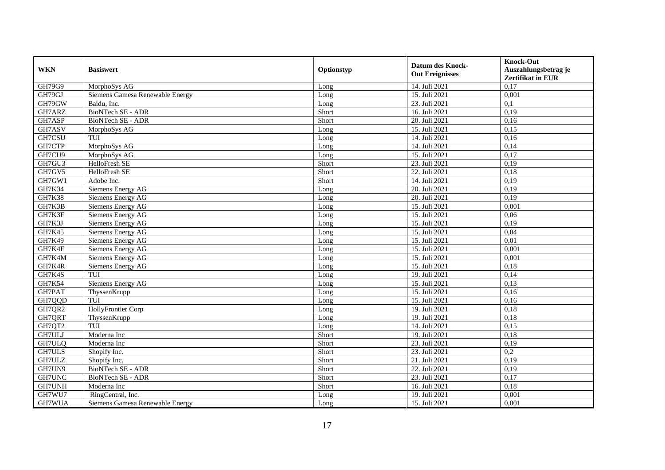| <b>WKN</b>    | <b>Basiswert</b>                | Optionstyp | <b>Datum des Knock-</b><br><b>Out Ereignisses</b> | <b>Knock-Out</b><br>Auszahlungsbetrag je<br>Zertifikat in EUR |
|---------------|---------------------------------|------------|---------------------------------------------------|---------------------------------------------------------------|
| GH79G9        | MorphoSys AG                    | Long       | 14. Juli 2021                                     | 0,17                                                          |
| GH79GJ        | Siemens Gamesa Renewable Energy | Long       | 15. Juli 2021                                     | 0,001                                                         |
| GH79GW        | Baidu, Inc.                     | Long       | 23. Juli 2021                                     | 0,1                                                           |
| GH7ARZ        | BioNTech SE - ADR               | Short      | 16. Juli 2021                                     | 0,19                                                          |
| GH7ASP        | <b>BioNTech SE - ADR</b>        | Short      | 20. Juli 2021                                     | 0,16                                                          |
| GH7ASV        | MorphoSys AG                    | Long       | 15. Juli 2021                                     | 0,15                                                          |
| GH7CSU        | TUI                             | Long       | 14. Juli 2021                                     | 0,16                                                          |
| GH7CTP        | MorphoSys AG                    | Long       | 14. Juli 2021                                     | 0,14                                                          |
| GH7CU9        | MorphoSys AG                    | Long       | 15. Juli 2021                                     | 0,17                                                          |
| GH7GU3        | HelloFresh SE                   | Short      | 23. Juli 2021                                     | 0,19                                                          |
| GH7GV5        | HelloFresh SE                   | Short      | 22. Juli 2021                                     | 0,18                                                          |
| GH7GW1        | Adobe Inc.                      | Short      | 14. Juli 2021                                     | 0,19                                                          |
| GH7K34        | Siemens Energy AG               | Long       | 20. Juli 2021                                     | 0,19                                                          |
| <b>GH7K38</b> | Siemens Energy AG               | Long       | 20. Juli 2021                                     | 0,19                                                          |
| GH7K3B        | Siemens Energy AG               | Long       | 15. Juli 2021                                     | 0,001                                                         |
| GH7K3F        | <b>Siemens Energy AG</b>        | Long       | 15. Juli 2021                                     | 0,06                                                          |
| GH7K3J        | Siemens Energy AG               | Long       | 15. Juli 2021                                     | 0,19                                                          |
| <b>GH7K45</b> | Siemens Energy AG               | Long       | 15. Juli 2021                                     | 0,04                                                          |
| GH7K49        | <b>Siemens Energy AG</b>        | Long       | 15. Juli 2021                                     | 0,01                                                          |
| GH7K4F        | Siemens Energy AG               | Long       | 15. Juli 2021                                     | 0,001                                                         |
| GH7K4M        | <b>Siemens Energy AG</b>        | Long       | 15. Juli 2021                                     | 0,001                                                         |
| GH7K4R        | Siemens Energy AG               | Long       | 15. Juli 2021                                     | 0,18                                                          |
| GH7K4S        | TUI                             | Long       | 19. Juli 2021                                     | 0,14                                                          |
| <b>GH7K54</b> | Siemens Energy AG               | Long       | 15. Juli 2021                                     | 0,13                                                          |
| GH7PAT        | ThyssenKrupp                    | Long       | 15. Juli 2021                                     | 0,16                                                          |
| GH7QQD        | TUI                             | Long       | 15. Juli 2021                                     | 0,16                                                          |
| GH7QR2        | <b>HollyFrontier Corp</b>       | Long       | 19. Juli 2021                                     | 0,18                                                          |
| GH7QRT        | ThyssenKrupp                    | Long       | 19. Juli 2021                                     | 0,18                                                          |
| GH7QT2        | TUI                             | Long       | 14. Juli 2021                                     | 0,15                                                          |
| GH7ULJ        | Moderna Inc                     | Short      | 19. Juli 2021                                     | 0,18                                                          |
| GH7ULQ        | Moderna Inc                     | Short      | 23. Juli 2021                                     | 0,19                                                          |
| GH7ULS        | Shopify Inc.                    | Short      | 23. Juli 2021                                     | 0,2                                                           |
| GH7ULZ        | Shopify Inc.                    | Short      | 21. Juli 2021                                     | 0,19                                                          |
| GH7UN9        | <b>BioNTech SE - ADR</b>        | Short      | 22. Juli 2021                                     | 0,19                                                          |
| GH7UNC        | <b>BioNTech SE - ADR</b>        | Short      | 23. Juli 2021                                     | 0,17                                                          |
| GH7UNH        | Moderna Inc                     | Short      | 16. Juli 2021                                     | 0,18                                                          |
| GH7WU7        | RingCentral, Inc.               | Long       | 19. Juli 2021                                     | 0,001                                                         |
| GH7WUA        | Siemens Gamesa Renewable Energy | Long       | 15. Juli 2021                                     | 0,001                                                         |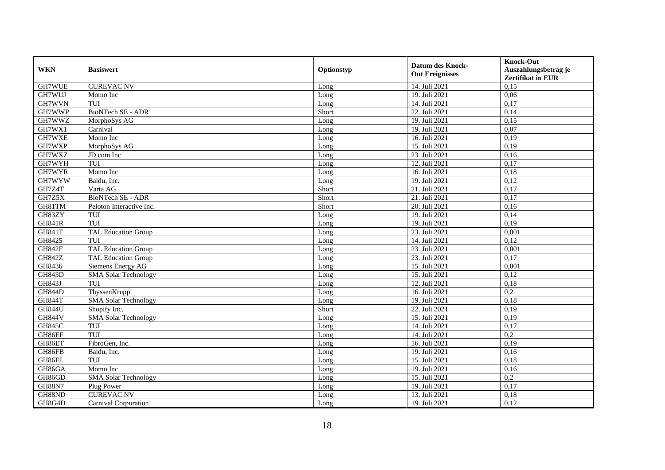| <b>WKN</b>    | <b>Basiswert</b>            | Optionstyp | <b>Datum des Knock-</b><br><b>Out Ereignisses</b> | <b>Knock-Out</b><br>Auszahlungsbetrag je<br>Zertifikat in EUR |
|---------------|-----------------------------|------------|---------------------------------------------------|---------------------------------------------------------------|
| GH7WUE        | <b>CUREVAC NV</b>           | Long       | 14. Juli 2021                                     | 0,15                                                          |
| GH7WUJ        | Momo Inc                    | Long       | 19. Juli 2021                                     | 0,06                                                          |
| GH7WVN        | TUI                         | Long       | 14. Juli 2021                                     | 0,17                                                          |
| GH7WWP        | BioNTech SE - ADR           | Short      | 22. Juli 2021                                     | 0,14                                                          |
| GH7WWZ        | MorphoSys AG                | Long       | 19. Juli 2021                                     | 0,15                                                          |
| GH7WX1        | Carnival                    | Long       | 19. Juli 2021                                     | 0.07                                                          |
| GH7WXE        | Momo Inc                    | Long       | 16. Juli 2021                                     | 0,19                                                          |
| GH7WXP        | MorphoSys AG                | Long       | 15. Juli 2021                                     | 0,19                                                          |
| GH7WXZ        | JD.com Inc                  | Long       | 23. Juli 2021                                     | 0,16                                                          |
| GH7WYH        | TUI                         | Long       | 12. Juli 2021                                     | 0,17                                                          |
| GH7WYR        | Momo Inc                    | Long       | 16. Juli 2021                                     | 0,18                                                          |
| GH7WYW        | Baidu, Inc.                 | Long       | 19. Juli 2021                                     | 0,12                                                          |
| GH7Z4T        | Varta AG                    | Short      | 21. Juli 2021                                     | 0,17                                                          |
| GH7Z5X        | <b>BioNTech SE - ADR</b>    | Short      | 21. Juli 2021                                     | 0,17                                                          |
| GH81TM        | Peloton Interactive Inc.    | Short      | 20. Juli 2021                                     | 0,16                                                          |
| GH83ZY        | TUI                         | Long       | 19. Juli 2021                                     | 0,14                                                          |
| <b>GH841R</b> | TUI                         | Long       | 19. Juli 2021                                     | 0,19                                                          |
| <b>GH841T</b> | <b>TAL Education Group</b>  | Long       | 23. Juli 2021                                     | 0,001                                                         |
| GH8425        | TUI                         | Long       | 14. Juli 2021                                     | 0,12                                                          |
| <b>GH842F</b> | <b>TAL Education Group</b>  | Long       | 23. Juli 2021                                     | 0,001                                                         |
| <b>GH842Z</b> | TAL Education Group         | Long       | 23. Juli 2021                                     | 0,17                                                          |
| GH8436        | Siemens Energy AG           | Long       | 15. Juli 2021                                     | 0.001                                                         |
| <b>GH843D</b> | <b>SMA Solar Technology</b> | Long       | 15. Juli 2021                                     | 0,12                                                          |
| GH843J        | TUI                         | Long       | 12. Juli 2021                                     | 0,18                                                          |
| <b>GH844D</b> | ThyssenKrupp                | Long       | 16. Juli 2021                                     | 0,2                                                           |
| <b>GH844T</b> | <b>SMA Solar Technology</b> | Long       | 19. Juli 2021                                     | 0,18                                                          |
| <b>GH844U</b> | Shopify Inc.                | Short      | 22. Juli 2021                                     | 0,19                                                          |
| <b>GH844V</b> | <b>SMA Solar Technology</b> | Long       | 15. Juli 2021                                     | 0,19                                                          |
| <b>GH845C</b> | TUI                         | Long       | 14. Juli 2021                                     | 0,17                                                          |
| GH86EF        | TUI                         | Long       | 14. Juli 2021                                     | 0,2                                                           |
| GH86ET        | FibroGen, Inc.              | Long       | 16. Juli 2021                                     | 0,19                                                          |
| GH86FB        | Baidu, Inc.                 | Long       | 19. Juli 2021                                     | 0,16                                                          |
| GH86FJ        | TUI                         | Long       | 15. Juli 2021                                     | 0,18                                                          |
| GH86GA        | Momo Inc                    | Long       | 19. Juli 2021                                     | 0,16                                                          |
| GH86GD        | <b>SMA Solar Technology</b> | Long       | 15. Juli 2021                                     | 0,2                                                           |
| <b>GH88N7</b> | Plug Power                  | Long       | 19. Juli 2021                                     | 0,17                                                          |
| GH88ND        | <b>CUREVAC NV</b>           | Long       | 13. Juli 2021                                     | 0,18                                                          |
| GH8G4D        | Carnival Corporation        | Long       | 19. Juli 2021                                     | 0,12                                                          |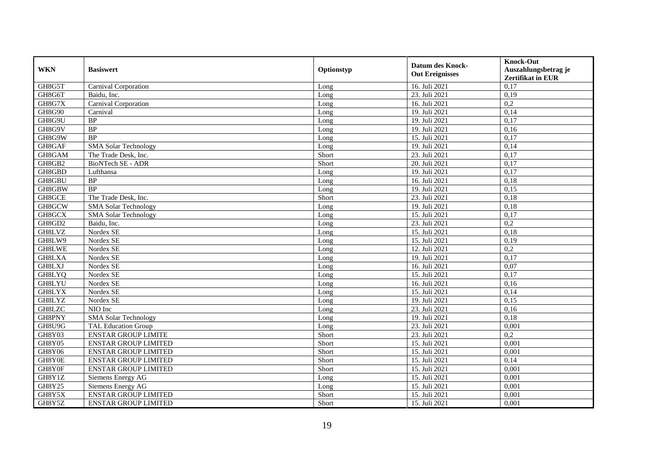| <b>WKN</b>    | <b>Basiswert</b>            | Optionstyp | <b>Datum des Knock-</b><br><b>Out Ereignisses</b> | <b>Knock-Out</b><br>Auszahlungsbetrag je<br>Zertifikat in EUR |
|---------------|-----------------------------|------------|---------------------------------------------------|---------------------------------------------------------------|
| GH8G5T        | Carnival Corporation        | Long       | 16. Juli 2021                                     | 0,17                                                          |
| GH8G6T        | Baidu, Inc.                 | Long       | 23. Juli 2021                                     | 0,19                                                          |
| GH8G7X        | Carnival Corporation        | Long       | 16. Juli 2021                                     | 0,2                                                           |
| GH8G90        | Carnival                    | Long       | 19. Juli 2021                                     | 0,14                                                          |
| GH8G9U        | BP                          | Long       | 19. Juli 2021                                     | 0,17                                                          |
| GH8G9V        | BP                          | Long       | 19. Juli 2021                                     | 0,16                                                          |
| GH8G9W        | <b>BP</b>                   | Long       | 15. Juli 2021                                     | 0,17                                                          |
| GH8GAF        | <b>SMA Solar Technology</b> | Long       | 19. Juli 2021                                     | 0,14                                                          |
| GH8GAM        | The Trade Desk, Inc.        | Short      | 23. Juli 2021                                     | 0,17                                                          |
| GH8GB2        | <b>BioNTech SE - ADR</b>    | Short      | 20. Juli 2021                                     | 0,17                                                          |
| GH8GBD        | Lufthansa                   | Long       | 19. Juli 2021                                     | 0,17                                                          |
| GH8GBU        | <b>BP</b>                   | Long       | 16. Juli 2021                                     | 0,18                                                          |
| GH8GBW        | <b>BP</b>                   | Long       | 19. Juli 2021                                     | 0,15                                                          |
| GH8GCE        | The Trade Desk, Inc.        | Short      | 23. Juli 2021                                     | 0,18                                                          |
| GH8GCW        | <b>SMA Solar Technology</b> | Long       | 19. Juli 2021                                     | 0,18                                                          |
| GH8GCX        | <b>SMA Solar Technology</b> | Long       | 15. Juli 2021                                     | 0,17                                                          |
| GH8GD2        | Baidu, Inc.                 | Long       | 23. Juli 2021                                     | 0,2                                                           |
| GH8LVZ        | Nordex SE                   | Long       | 15. Juli 2021                                     | 0.18                                                          |
| GH8LW9        | Nordex SE                   | Long       | 15. Juli 2021                                     | 0,19                                                          |
| GH8LWE        | Nordex SE                   | Long       | 12. Juli 2021                                     | 0,2                                                           |
| <b>GH8LXA</b> | Nordex SE                   | Long       | 19. Juli 2021                                     | 0,17                                                          |
| GH8LXJ        | Nordex SE                   | Long       | 16. Juli 2021                                     | 0,07                                                          |
| GH8LYQ        | Nordex SE                   | Long       | $\overline{15}$ . Juli 2021                       | 0,17                                                          |
| GH8LYU        | Nordex SE                   | Long       | 16. Juli 2021                                     | 0,16                                                          |
| <b>GH8LYX</b> | Nordex SE                   | Long       | 15. Juli 2021                                     | 0,14                                                          |
| GH8LYZ        | Nordex SE                   | Long       | 19. Juli 2021                                     | 0,15                                                          |
| GH8LZC        | NIO Inc                     | Long       | 23. Juli 2021                                     | 0,16                                                          |
| GH8PNY        | <b>SMA Solar Technology</b> | Long       | 19. Juli 2021                                     | 0.18                                                          |
| GH8U9G        | TAL Education Group         | Long       | 23. Juli 2021                                     | 0,001                                                         |
| GH8Y03        | <b>ENSTAR GROUP LIMITE</b>  | Short      | 23. Juli 2021                                     | 0,2                                                           |
| GH8Y05        | <b>ENSTAR GROUP LIMITED</b> | Short      | 15. Juli 2021                                     | 0,001                                                         |
| GH8Y06        | <b>ENSTAR GROUP LIMITED</b> | Short      | 15. Juli 2021                                     | 0.001                                                         |
| GH8Y0E        | <b>ENSTAR GROUP LIMITED</b> | Short      | 15. Juli 2021                                     | 0,14                                                          |
| GH8Y0F        | <b>ENSTAR GROUP LIMITED</b> | Short      | 15. Juli 2021                                     | 0,001                                                         |
| GH8Y1Z        | <b>Siemens Energy AG</b>    | Long       | 15. Juli 2021                                     | 0,001                                                         |
| GH8Y25        | Siemens Energy AG           | Long       | 15. Juli 2021                                     | 0,001                                                         |
| GH8Y5X        | <b>ENSTAR GROUP LIMITED</b> | Short      | 15. Juli 2021                                     | 0,001                                                         |
| GH8Y5Z        | <b>ENSTAR GROUP LIMITED</b> | Short      | 15. Juli 2021                                     | 0,001                                                         |